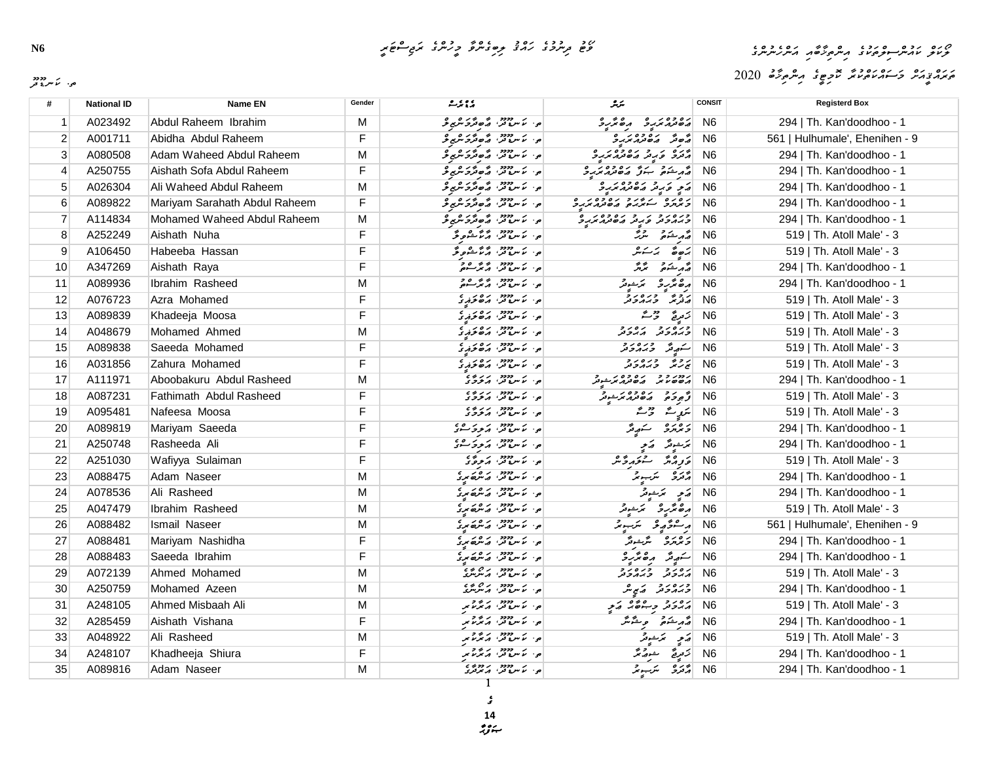*ޯކަލް ކައުންސިލްތަކުގެ އިންތިޚާބާއި އަންހެނުންގެ ވޯ ލ ތަރައްޤީއަށް މަސައްކަތްކުރާ ކޮމިޓީގެ އިންތިޚާބު 2020*

می. ک*ر سر*و <del>در</del><br>می. کر سر ع قر

| #                | <b>National ID</b> | <b>Name EN</b>                | Gender | 2ء ترے                                                                                                                                                                                                                         | ىئەتر                                               | <b>CONSIT</b>  | <b>Registerd Box</b>           |
|------------------|--------------------|-------------------------------|--------|--------------------------------------------------------------------------------------------------------------------------------------------------------------------------------------------------------------------------------|-----------------------------------------------------|----------------|--------------------------------|
| 1                | A023492            | Abdul Raheem Ibrahim          | М      | ى ئىس دودە ئەھەرى مى                                                                                                                                                                                                           | גפנג בלג פיני                                       | N <sub>6</sub> | 294   Th. Kan'doodhoo - 1      |
| 2                | A001711            | Abidha Abdul Raheem           | F      | ە · ئاس دەس مەھەر <i>ۋە ئەر ئارى</i>                                                                                                                                                                                           | مُصغَرِّ مُصْرِمْ مَرْرِدْ                          | N6             | 561   Hulhumale', Ehenihen - 9 |
| 3                | A080508            | Adam Waheed Abdul Raheem      | M      | ە · ئاس <sup>222</sup> ر ، ئ <i>ەھەترى ش</i> ى ئو                                                                                                                                                                              | وره در دره ده در و                                  | N6             | 294   Th. Kan'doodhoo - 1      |
| 4                | A250755            | Aishath Sofa Abdul Raheem     | F      | ە · ئاس دەس مەھەر <i>ۋە ئەر ئارى</i>                                                                                                                                                                                           | د د شوه برو ره ده در و                              | N6             | 294   Th. Kan'doodhoo - 1      |
| 5                | A026304            | Ali Waheed Abdul Raheem       | M      | ە · ئاس 322 ، ئەھەترى شرىع تو                                                                                                                                                                                                  | م و د د د ماه ده د د د                              | N6             | 294   Th. Kan'doodhoo - 1      |
| $6 \overline{6}$ | A089822            | Mariyam Sarahath Abdul Raheem | F      | ە · ئاس دەس مەھەر <i>ۋە ئەر ئارى</i>                                                                                                                                                                                           | 1010 נימני 10201 0                                  | N6             | 294   Th. Kan'doodhoo - 1      |
| $\overline{7}$   | A114834            | Mohamed Waheed Abdul Raheem   | М      | ە ئەس <sup>372</sup> ئەھ <sup>ى</sup> ر ئەرەپى                                                                                                                                                                                 | CLOSE C C LOSE COLLO                                | N <sub>6</sub> | 294   Th. Kan'doodhoo - 1      |
| 8                | A252249            | Aishath Nuha                  | F      | ى ئەسەبىق، ئەنگەشلىرى ئى                                                                                                                                                                                                       | ە ئەستىم سرگ                                        | N <sub>6</sub> | 519   Th. Atoll Male' - 3      |
| 9                | A106450            | Habeeba Hassan                | F      | ە بە ئەسىر تەرەپ ئەس ئەھ بۇ                                                                                                                                                                                                    | ئەڭ ئەسەس                                           | N <sub>6</sub> | 519   Th. Atoll Male' - 3      |
| 10               | A347269            | Aishath Raya                  | F      | ە ·   ئەسرەتر،   ئەنگەر - دېر                                                                                                                                                                                                  | أور المسكرة والمحرار                                | N <sub>6</sub> | 294   Th. Kan'doodhoo - 1      |
| 11               | A089936            | Ibrahim Rasheed               | M      | ە بەس دەپرە ئەيدە ئە                                                                                                                                                                                                           | مەھەرىرى ئەسىم                                      | N6             | 294   Th. Kan'doodhoo - 1      |
| 12               | A076723            | Azra Mohamed                  | F      | ه که سرورد ده د د د                                                                                                                                                                                                            | ر و در دره در د<br>مانگرنگ از در ماندارد            | N6             | 519   Th. Atoll Male' - 3      |
| 13               | A089839            | Khadeeja Moosa                | F      | ه ۱۵۲۰ ودود ۱۵۷۰ و.<br>په کاس فران کاره څرو ک                                                                                                                                                                                  | زَمِرِجٌ - وَ"َ سُمَّ                               | N <sub>6</sub> | 519   Th. Atoll Male' - 3      |
| 14               | A048679            | Mohamed Ahmed                 | M      | ه کامل دود. ده دره د                                                                                                                                                                                                           | כנסנכ נסנכ<br>כ <i>ה</i> תכת הגבת                   | N <sub>6</sub> | 519   Th. Atoll Male' - 3      |
| 15               | A089838            | Saeeda Mohamed                | F      | وسأس دودوس كالمحافرة                                                                                                                                                                                                           | سکهانگر از در در د                                  | N <sub>6</sub> | 519   Th. Atoll Male' - 3      |
| 16               | A031856            | Zahura Mohamed                | F      | ه ۱۵۲۰ ورود ۱۵۷۰ و.<br>مسلم در استانس                                                                                                                                                                                          | يروثه وره دو                                        | N <sub>6</sub> | 519   Th. Atoll Male' - 3      |
| 17               | A111971            | Aboobakuru Abdul Rasheed      | M      | ه کامن دود. مرکزه کا                                                                                                                                                                                                           | נמני ככ נספס גביב<br>גם <i>סיצג גם נגת צ</i> יشو تر | N <sub>6</sub> | 294   Th. Kan'doodhoo - 1      |
| 18               | A087231            | Fathimath Abdul Rasheed       | F      | ه کامن دود. مرکزه کا                                                                                                                                                                                                           | ه د د ده ده د د د<br>زوده ماه در مرشود              | N6             | 519   Th. Atoll Male' - 3      |
| 19               | A095481            | Nafeesa Moosa                 | F      | ه کامن دود. دره د                                                                                                                                                                                                              | $23$ $24$                                           | N <sub>6</sub> | 519   Th. Atoll Male' - 3      |
| 20               | A089819            | Mariyam Saeeda                | E      | ه ۱۰ کامروژه کرونو شوی                                                                                                                                                                                                         | كرەرە سەرىگە                                        | N6             | 294   Th. Kan'doodhoo - 1      |
| 21               | A250748            | Rasheeda Ali                  | F      | ه ۱۰ کامروژه کرونو شوی                                                                                                                                                                                                         | لترجعتر الأمو                                       | N6             | 294   Th. Kan'doodhoo - 1      |
| 22               | A251030            | Wafiyya Sulaiman              | F      | ه ، پاسودون مرکزه کا                                                                                                                                                                                                           | ۇرەر سىزەرقىر                                       | N <sub>6</sub> | 519   Th. Atoll Male' - 3      |
| 23               | A088475            | Adam Naseer                   | M      | ه کامرود دره در در                                                                                                                                                                                                             | أركرته الكرسومر                                     | N <sub>6</sub> | 294   Th. Kan'doodhoo - 1      |
| 24               | A078536            | Ali Rasheed                   | M      | ه که سرور ده در در د                                                                                                                                                                                                           | أتكافوا التمرك وتمر                                 | N6             | 294   Th. Kan'doodhoo - 1      |
| 25               | A047479            | Ibrahim Rasheed               | М      | ه که سرور ده در در د                                                                                                                                                                                                           | مەھەرىرى ئەسىم                                      | N <sub>6</sub> | 519   Th. Atoll Male' - 3      |
| 26               | A088482            | <b>Ismail Naseer</b>          | M      | ه که سرور در در در د                                                                                                                                                                                                           | مەستۇم قى سىزلىر                                    | N <sub>6</sub> | 561   Hulhumale', Ehenihen - 9 |
| 27               | A088481            | Mariyam Nashidha              | F      | ه که سرور ده در در د                                                                                                                                                                                                           | رەرە س <sup>ە</sup> شەھ                             | N <sub>6</sub> | 294   Th. Kan'doodhoo - 1      |
| 28               | A088483            | Saeeda Ibrahim                | F      | ه که سرورد که شرکت مرد م                                                                                                                                                                                                       | سكرينش المصريرة                                     | N <sub>6</sub> | 294   Th. Kan'doodhoo - 1      |
| 29               | A072139            | Ahmed Mohamed                 | м      | ە بە ئەسىردە ئەرەككە                                                                                                                                                                                                           | גפגב בגםגב<br>הגבע בגהבע                            | N6             | 519   Th. Atoll Male' - 3      |
| 30               | A250759            | Mohamed Azeen                 | M      | ە . ئەس 25°، ئەشرىش                                                                                                                                                                                                            | ورەرو كەي ش                                         | N6             | 294   Th. Kan'doodhoo - 1      |
| 31               | A248105            | Ahmed Misbaah Ali             | M      | ه ۱۰ مترس در در در در این کاربرد که این کاربرد که این کاربرد که این کاربرد که این کاربرد که این کاربرد که این<br>کاربرد کاربرد که این کاربرد که این کاربرد که این کاربرد که این کاربرد که بالا که بالا که بالا که بالا که بالا | برورد وجوه كمو                                      | N6             | 519   Th. Atoll Male' - 3      |
| 32               | A285459            | Aishath Vishana               | F      | ە ، ئاستەتر، ئەئزىرىمە                                                                                                                                                                                                         | أمد مسكوتم المراكب والمستكسر                        | N6             | 294   Th. Kan'doodhoo - 1      |
| 33               | A048922            | Ali Rasheed                   | M      | ه کامن دود کام کامل                                                                                                                                                                                                            | أقامي المرحوص                                       | N6             | 519   Th. Atoll Male' - 3      |
| 34               | A248107            | Khadheeja Shiura              | F      | ه ۱۰ متروفز مرکز مر                                                                                                                                                                                                            | ے درگر<br>كرمرقح                                    | N6             | 294   Th. Kan'doodhoo - 1      |
| 35               | A089816            | Adam Naseer                   | м      | ه ۱۰ کمبر ۱۵۶۶ د ۱۵۶۶ و.<br>ای کامل کرد کارگروی                                                                                                                                                                                | أركاره الكرسور                                      | N6             | 294   Th. Kan'doodhoo - 1      |
|                  |                    |                               |        |                                                                                                                                                                                                                                |                                                     |                |                                |

*ގެ*

**14**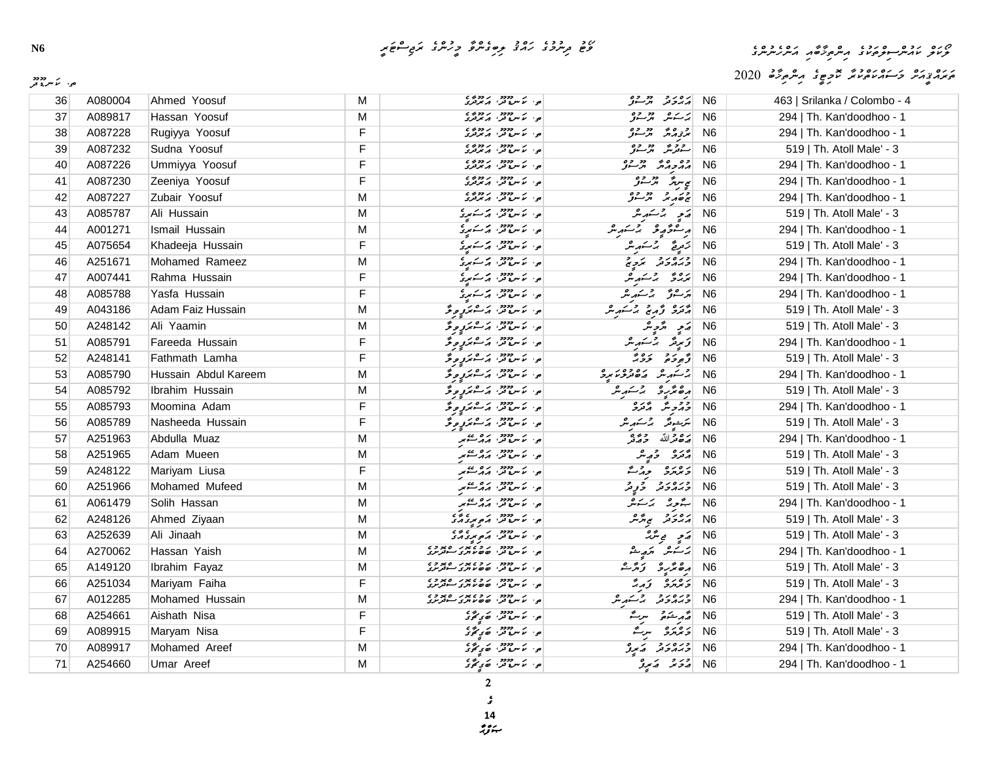*ޯކަލް ކައުންސިލްތަކުގެ އިންތިޚާބާއި އަންހެނުންގެ ވޯ ލ*

*ތަރައްޤީއަށް މަސައްކަތްކުރާ ކޮމިޓީގެ އިންތިޚާބު 2020*

| 36 | A080004 | Ahmed Yoosuf         | м | ه ۱۰ کوروو در ۱۵۶۶<br>۱۰ کورس کوری اور جوړو ک                                                                                                                                                                                    | ג פיני ניבי פי                                          | N6             | 463   Srilanka / Colombo - 4 |
|----|---------|----------------------|---|----------------------------------------------------------------------------------------------------------------------------------------------------------------------------------------------------------------------------------|---------------------------------------------------------|----------------|------------------------------|
| 37 | A089817 | Hassan Yoosuf        | М | ه ۱۰ کردود در دوره با<br>امی از کاس و تورا اور جوهوری                                                                                                                                                                            | برسە ئەسىر                                              | N <sub>6</sub> | 294   Th. Kan'doodhoo - 1    |
| 38 | A087228 | Rugiyya Yoosuf       | F | ه ۱۰ کردود در ۶۶ وروپرو<br>امو ۱۰ کامل فرانس اور جوهوی                                                                                                                                                                           |                                                         | N6             | 294   Th. Kan'doodhoo - 1    |
| 39 | A087232 | Sudna Yoosuf         | F | ه ۱۰ کردود در ۶۶ وران<br>امو ۱۰ کامل فران کرد محرفری                                                                                                                                                                             | ے در شروع کی مشارقی                                     | N <sub>6</sub> | 519   Th. Atoll Male' - 3    |
| 40 | A087226 | Ummiyya Yoosuf       | F | ه ۷۰ کرده در دونه د<br>د کاس کرد کردی                                                                                                                                                                                            | כם בי מי כם<br>גגברית תי-                               | N6             | 294   Th. Kan'doodhoo - 1    |
| 41 | A087230 | Zeeniya Yoosuf       | F | ه ۷۰ کوده در دوه و.<br>د کامل کرد کردگری                                                                                                                                                                                         | ىپ سوڭر قرمىستوگر                                       | N <sub>6</sub> | 294   Th. Kan'doodhoo - 1    |
| 42 | A087227 | Zubair Yoosuf        | М | ه ۱۰ کورووي در دوه در د                                                                                                                                                                                                          | $3 - 7 - 7 - 8$                                         | N6             | 294   Th. Kan'doodhoo - 1    |
| 43 | A085787 | Ali Hussain          | м | ه به مأسود در مرکز برد که برد که این در این این این مرکز برای این این این که برای که این که برای که این که این<br>مرکز این که برای که برای که برای که برای که برای که برای که برای که برای که برای که برای که برای که برای که بر | كەنجە بەشكەر بىر                                        | N <sub>6</sub> | 519   Th. Atoll Male' - 3    |
| 44 | A001271 | Ismail Hussain       | М | ه ۱۰ مأس <sup>1999</sup> و مسك <i>ور</i> ي                                                                                                                                                                                       | مەستۇم ئۇ يەسىمبەش                                      | N <sub>6</sub> | 294   Th. Kan'doodhoo - 1    |
| 45 | A075654 | Khadeeja Hussain     | F | ه کامن دوده مرکب کام                                                                                                                                                                                                             | كزمرقج الركسكر مثل                                      | N6             | 519   Th. Atoll Male' - 3    |
| 46 | A251671 | Mohamed Rameez       | М | ه به مأسود در منظم برد.<br>من ما مسافتون اور مسکوندی                                                                                                                                                                             | כממכני מקי                                              | N6             | 294   Th. Kan'doodhoo - 1    |
| 47 | A007441 | Rahma Hussain        | F | ە بە ئەستەتتىن مەسىئەتتەت                                                                                                                                                                                                        | ىرەپ بەسكەس                                             | N <sub>6</sub> | 294   Th. Kan'doodhoo - 1    |
| 48 | A085788 | Yasfa Hussain        | F | ه ۱۰ مأس دود به مرکب در در سوسری                                                                                                                                                                                                 | ېزىقق برخىمەش                                           | N <sub>6</sub> | 294   Th. Kan'doodhoo - 1    |
| 49 | A043186 | Adam Faiz Hussain    | M | ە بە ئەس <sup>ەدەر</sup> ، ئەسەئىر <i>و</i> رۇ                                                                                                                                                                                   | وره و د د کرد ش                                         | N <sub>6</sub> | 519   Th. Atoll Male' - 3    |
| 50 | A248142 | Ali Yaamin           | М | ە ئەسىردە ئەسەئىر <i>ھەتى</i>                                                                                                                                                                                                    | ړَ په گرچ کر                                            | N <sub>6</sub> | 519   Th. Atoll Male' - 3    |
| 51 | A085791 | Fareeda Hussain      | F | ى ئاستۇن مەسىم بولۇ                                                                                                                                                                                                              | الأبرنگ الركسكيرنگر                                     | N6             | 294   Th. Kan'doodhoo - 1    |
| 52 | A248141 | Fathmath Lamha       | F | ى ئەسترىق ئەسىمگروڭ                                                                                                                                                                                                              | N6 <i>وُجوحَة خَ</i> رْبَّہُ                            |                | 519   Th. Atoll Male' - 3    |
| 53 | A085790 | Hussain Abdul Kareem | М | ى ئەسىردە ئەسىر ئەمەر ب                                                                                                                                                                                                          | N6 پُرَ <i>حَمدِ مَنْ مَنْ قَدْ قَرْ قَرْ مَدِ</i> قَرْ |                | 294   Th. Kan'doodhoo - 1    |
| 54 | A085792 | Ibrahim Hussain      | M | ى ئاستان ئەسىمگە بەر                                                                                                                                                                                                             | مەھرىرى بەسىمبە                                         | N6             | 519   Th. Atoll Male' - 3    |
| 55 | A085793 | Moomina Adam         | F | ى ئاستۇن مەسىمگە بەيدۇ                                                                                                                                                                                                           | وړو شه په ده د                                          | N <sub>6</sub> | 294   Th. Kan'doodhoo - 1    |
| 56 | A085789 | Nasheeda Hussain     | F | ى ئەسىردە ئەسىر ئورگ                                                                                                                                                                                                             | N6   سَرَسُومَّر كَرْسَهَ مَدْ                          |                | 519   Th. Atoll Male' - 3    |
| 57 | A251963 | Abdulla Muaz         | M | ه ، پاس دوده بره به د                                                                                                                                                                                                            | N6 كەھەراللە ئەگەنر                                     |                | 294   Th. Kan'doodhoo - 1    |
| 58 | A251965 | Adam Mueen           | M | ه که متوفق بره مهر                                                                                                                                                                                                               | أروح وأرس                                               | N6             | 519   Th. Atoll Male' - 3    |
| 59 | A248122 | Mariyam Liusa        | F | ه که سروروز بره می کند                                                                                                                                                                                                           | ويروز ورقم                                              | N6             | 519   Th. Atoll Male' - 3    |
| 60 | A251966 | Mohamed Mufeed       | М | ە ئەس <sup>ەددە</sup> ئەم <sup>مىس</sup> ىر                                                                                                                                                                                      | ورەرو ورو                                               | N <sub>6</sub> | 519   Th. Atoll Male' - 3    |
| 61 | A061479 | Solih Hassan         | М | ه ۱۰ مترس دره ۵۷ کلیمه                                                                                                                                                                                                           | بەلەر ئەسەھ                                             | N6             | 294   Th. Kan'doodhoo - 1    |
| 62 | A248126 | Ahmed Ziyaan         | M | $\begin{bmatrix} 1 & 0 & 0 & 0 \\ 0 & 1 & 0 & 0 \\ 0 & 0 & 0 & 0 \end{bmatrix}$                                                                                                                                                  | رورو پر گر                                              | N <sub>6</sub> | 519   Th. Atoll Male' - 3    |
| 63 | A252639 | Ali Jinaah           | М | ه ۱۰ مترور مهم در ۲۰<br>۲۰ مترس مهم در مهم در                                                                                                                                                                                    | أماسح ويترك                                             | N <sub>6</sub> | 519   Th. Atoll Male' - 3    |
| 64 | A270062 | Hassan Yaish         | М | ه ۱۰ دوود د و د پر د د د د د<br>ه اس سره تر ان ه ه سر د سوترس                                                                                                                                                                    | N6   پزشکر م <i>زم ش</i>                                |                | 294   Th. Kan'doodhoo - 1    |
| 65 | A149120 | Ibrahim Fayaz        | М | ם יו ממר וכני מודעים מיירים.<br>יום יו מייעי על המודעים מיירות מייעים מייעים מייעים לא מייעים מייעים מייעים מייעים מיי                                                                                                           | N6 مەھم <i>گرى</i> ئەمگەشە                              |                | 519   Th. Atoll Male' - 3    |
| 66 | A251034 | Mariyam Faiha        | F | י ערככל הכני הרגים ביניים ביניים.<br>יום יום עיניים ליטורים ביניים ביניים ביניים ביניים ביניים ביניים ביניים ביניים ביניים ביניים ביניים ביניים בינ                                                                              | أومرمر ومدر                                             | N6             | 519   Th. Atoll Male' - 3    |
| 67 | A012285 | Mohamed Hussain      | м | د که دودو د و د پر د ه پرون<br>د کامل کر اهال کرد سوتر برد                                                                                                                                                                       | ورەرو ئەسكەش                                            | N6             | 294   Th. Kan'doodhoo - 1    |
| 68 | A254661 | Aishath Nisa         | F | ه ۱۰ مترس ته در در در در برخی در این برخی در این برخی در این برخی در این برخی در این برخی برخی در این کار در ا<br>مردم این کار در این برخی برخی در این کار در این کار در این کار در این کار در این کار در این کار در این کار در  | أقدم شكوته السرب                                        | N6             | 519   Th. Atoll Male' - 3    |
| 69 | A089915 | Maryam Nisa          | F |                                                                                                                                                                                                                                  | رەرە سەگ                                                | N6             | 519   Th. Atoll Male' - 3    |
| 70 | A089917 | Mohamed Areef        | М | ه کامل دوده که کامی                                                                                                                                                                                                              | ورەرو كەيرۇ                                             | N6             | 294   Th. Kan'doodhoo - 1    |
| 71 | A254660 | <b>Umar Areef</b>    | М | ه که دودد که دیگری                                                                                                                                                                                                               | N6 252 <i>مك</i> بر                                     |                | 294   Th. Kan'doodhoo - 1    |

*2 ގެ*

**14** 

*ޞަފްޙާ*

می. ک*ر سر*و <del>در</del><br>می. کر سر ع قر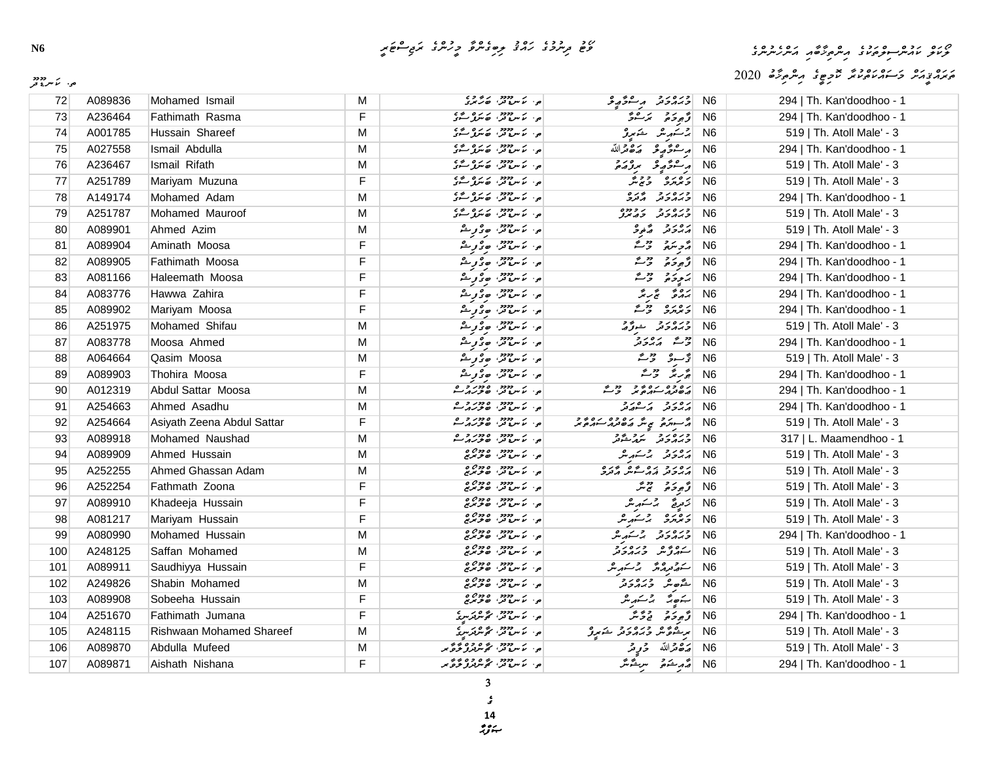*ޯކަލް ކައުންސިލްތަކުގެ އިންތިޚާބާއި އަންހެނުންގެ ވޯ ލ ތަރައްޤީއަށް މަސައްކަތްކުރާ ކޮމިޓީގެ އިންތިޚާބު 2020*

| می که مردود<br>می که مربع فر |         |                            |   |                                                                                                                                                                                                                                |                                                      |                | خيرتر يزمر المستر متوافد المتوج والمترام في 2020. |
|------------------------------|---------|----------------------------|---|--------------------------------------------------------------------------------------------------------------------------------------------------------------------------------------------------------------------------------|------------------------------------------------------|----------------|---------------------------------------------------|
| 72                           | A089836 | Mohamed Ismail             | м | ه کردود ده ده.<br>ه کامونو هرمرد                                                                                                                                                                                               | ورەردى مەشرەپر                                       | N6             | 294   Th. Kan'doodhoo - 1                         |
| 73                           | A236464 | Fathimath Rasma            | F | ە بەستۇر ئەستىر شى                                                                                                                                                                                                             | توجوحا بمركبو                                        | N6             | 294   Th. Kan'doodhoo - 1                         |
| 74                           | A001785 | Hussain Shareef            | м | ه ، کاس دود.<br>مسافر، کاس کور                                                                                                                                                                                                 | N6   پرستہریش ختمبر <i>و</i>                         |                | 519   Th. Atoll Male' - 3                         |
| 75                           | A027558 | Ismail Abdulla             | M | ه که مردود کاره وي.<br>ه کامن فران که مرکز سوی                                                                                                                                                                                 | N6 م <i>وس<sup>و</sup>ؤمو</i> تخر م <i>مكان</i> ته   |                | 294   Th. Kan'doodhoo - 1                         |
| 76                           | A236467 | Ismail Rifath              | м | ە ، ئەسرەت ئەسرى-ئ                                                                                                                                                                                                             | وسنوم عرومه                                          | N6             | 519   Th. Atoll Male' - 3                         |
| 77                           | A251789 | Mariyam Muzuna             | F | ه ۱۰ کمبرو دره ۲۵ کلی کرده و در ۱۳۵ کلی کلیداری<br>این اما کلیداری کلیداری کلیداری                                                                                                                                             | ر ده ده در در                                        | N6             | 519   Th. Atoll Male' - 3                         |
| 78                           | A149174 | Mohamed Adam               | м | ە . ئەسەتتى ئەنىۋىسى                                                                                                                                                                                                           | בגם גב בנס                                           | N6             | 294   Th. Kan'doodhoo - 1                         |
| 79                           | A251787 | Mohamed Mauroof            | M | ه ، ئاس <sup>379</sup> ، ئەسرىسى                                                                                                                                                                                               | כנסנכ נכחס                                           | N6             | 519   Th. Atoll Male' - 3                         |
| 80                           | A089901 | Ahmed Azim                 | M | ە ئەس دەدە ھەر ش                                                                                                                                                                                                               | ړه د ژود                                             | N6             | 519   Th. Atoll Male' - 3                         |
| 81                           | A089904 | Aminath Moosa              | F | ه کسی دود.<br>های موسیقی می کوشو                                                                                                                                                                                               | أأزمتهم وحميث                                        | N6             | 294   Th. Kan'doodhoo - 1                         |
| 82                           | A089905 | Fathimath Moosa            | F | ە ئەس دەدە ھەر ئ                                                                                                                                                                                                               | N6 أَوْجِرَة حَمْرٌ حَمْدٌ مِنْ                      |                | 294   Th. Kan'doodhoo - 1                         |
| 83                           | A081166 | Haleemath Moosa            | F | ە ئەس دەدە ھەر ئ                                                                                                                                                                                                               | N6 كَيَجِرَةٌ فَيْ شَّ                               |                | 294   Th. Kan'doodhoo - 1                         |
| 84                           | A083776 | Hawwa Zahira               | F | ه کامل دودو ه کامل ک                                                                                                                                                                                                           | يەدۇ ئارىگە                                          | N6             | 294   Th. Kan'doodhoo - 1                         |
| 85                           | A089902 | Mariyam Moosa              | F | ە ئەس دەدە ھەر ئ                                                                                                                                                                                                               | كەندە دىم                                            | N6             | 294   Th. Kan'doodhoo - 1                         |
| 86                           | A251975 | Mohamed Shifau             | M | ە ، ئەسمەتر، ھەرىشە                                                                                                                                                                                                            | وره رو د وو<br><i>د ب</i> رمرو شو <i>زه</i>          | N <sub>6</sub> | 519   Th. Atoll Male' - 3                         |
| 87                           | A083778 | Moosa Ahmed                | M | ە ئەسەددە ھەر ش                                                                                                                                                                                                                | وسط كەردىتى                                          | N6             | 294   Th. Kan'doodhoo - 1                         |
| 88                           | A064664 | Qasim Moosa                | M | ه که موجود ده کار ش                                                                                                                                                                                                            | تخ- سرق حق ش                                         | N6             | 519   Th. Atoll Male' - 3                         |
| 89                           | A089903 | Thohira Moosa              | F | ه کامل دودو ه کامل ک                                                                                                                                                                                                           | $23 - 28$                                            | N <sub>6</sub> | 294   Th. Kan'doodhoo - 1                         |
| 90 <sup>°</sup>              | A012319 | Abdul Sattar Moosa         | M | $0.2120$ $0.220$ $0.92$                                                                                                                                                                                                        |                                                      | N6             | 294   Th. Kan'doodhoo - 1                         |
| 91                           | A254663 | Ahmed Asadhu               | M |                                                                                                                                                                                                                                | גפיני ה' פיני                                        | N6             | 294   Th. Kan'doodhoo - 1                         |
| 92                           | A254664 | Asiyath Zeena Abdul Sattar | F | $1.770$ $2.770$ $9.70$ $9.70$ $9.70$ $9.70$ $9.70$ $9.70$ $9.70$ $9.70$ $9.70$ $9.70$ $9.70$ $9.70$ $9.70$ $9.70$ $9.70$ $9.70$ $9.70$ $9.70$ $9.70$ $9.70$ $9.70$ $9.70$ $9.70$ $9.70$ $9.70$ $9.70$ $9.70$ $9.70$ $9.70$ $9$ | N6   مُرْسِيرُو مِي مُرَ مُرْحَدِهِ سِيرِ مُرَّةِ وَ |                | 519   Th. Atoll Male' - 3                         |
| 93                           | A089918 | Mohamed Naushad            | M | ם יי אייעציט פידור פ                                                                                                                                                                                                           | N6 كَرْرُوْدَ مَرْ مُدْشَرْ                          |                | 317   L. Maamendhoo - 1                           |
| 94                           | A089909 | Ahmed Hussain              | M | ם יע מדח ברכים כ<br>מי עיתונים יש מימים                                                                                                                                                                                        | رەرد رئەسكەس                                         | N6             | 519   Th. Atoll Male' - 3                         |
| 95                           | A252255 | Ahmed Ghassan Adam         | M |                                                                                                                                                                                                                                | رەرد دەر مەرە                                        | N6             | 519   Th. Atoll Male' - 3                         |
| 96                           | A252254 | Fathmath Zoona             | F |                                                                                                                                                                                                                                | توجو حقيقه                                           | N6             | 519   Th. Atoll Male' - 3                         |
| 97                           | A089910 | Khadeeja Hussain           | F | ه کردود و <i>ده و ده</i>                                                                                                                                                                                                       | N6 زَمِرةً بُرْسَهِ مِنْ                             |                | 519   Th. Atoll Male' - 3                         |
| 98                           | A081217 | Mariyam Hussain            | F | ه کردود وروه و در م                                                                                                                                                                                                            | N6 كاندىرى بار بىرىگىر                               |                | 519   Th. Atoll Male' - 3                         |
| 99                           | A080990 | Mohamed Hussain            | M | ם יציע בכבר 2000<br>ס יציע שיבותים                                                                                                                                                                                             | ورەرو ئەسكەش                                         | N <sub>6</sub> | 294   Th. Kan'doodhoo - 1                         |
| 100                          | A248125 | Saffan Mohamed             | M | ه کردود و دون ه<br>ه کرکرد هو مر                                                                                                                                                                                               | سووم ورەرو                                           | N6             | 519   Th. Atoll Male' - 3                         |
| 101                          | A089911 | Saudhiyya Hussain          | F | ه کردود وروه و در م                                                                                                                                                                                                            | ستصعيص برستمدش                                       | N <sub>6</sub> | 519   Th. Atoll Male' - 3                         |
| 102                          | A249826 | Shabin Mohamed             | M | ק י עיתכר 200 ס<br>ק י עיתוני שי <i>ל אי</i> ש                                                                                                                                                                                 | شەھ شەرەرد                                           | N6             | 519   Th. Atoll Male' - 3                         |
| 103                          | A089908 | Sobeeha Hussain            | F | ם יערכם סכמה<br>ס יעית בלי סיבות                                                                                                                                                                                               | بنوبر بركندش                                         | N6             | 519   Th. Atoll Male' - 3                         |
| 104                          | A251670 | Fathimath Jumana           | F | ه ۷۰ متر دود.<br>محمد موسیقی استخاب                                                                                                                                                                                            | ۇ بەرە دەپ                                           | N6             | 294   Th. Kan'doodhoo - 1                         |
| 105                          | A248115 | Rishwaan Mohamed Shareef   | M | ە · ئاس دود » ئۇ ئارتىرىس                                                                                                                                                                                                      | بررقوش وبرور والشرو                                  | N6             | 519   Th. Atoll Male' - 3                         |
| 106                          | A089870 | Abdulla Mufeed             | M | ە سىسىدىق ئەم دەمەر<br>مەسىم سىن تىر ئىس بىر ئەر ئىرى بىر                                                                                                                                                                      | N6 حَقَّ قَرْ اللَّهُ حَمَّو مَرْ                    |                | 519   Th. Atoll Male' - 3                         |
| 107                          | A089871 | Aishath Nishana            | F | ى ، ئاس دود. ئۇس دەپ ئار                                                                                                                                                                                                       | N6 أَمَّ مِّ سَمَّةٌ مِّسْتَمَّدَّ                   |                | 294   Th. Kan'doodhoo - 1                         |

*3* 

*ގެ*

**14**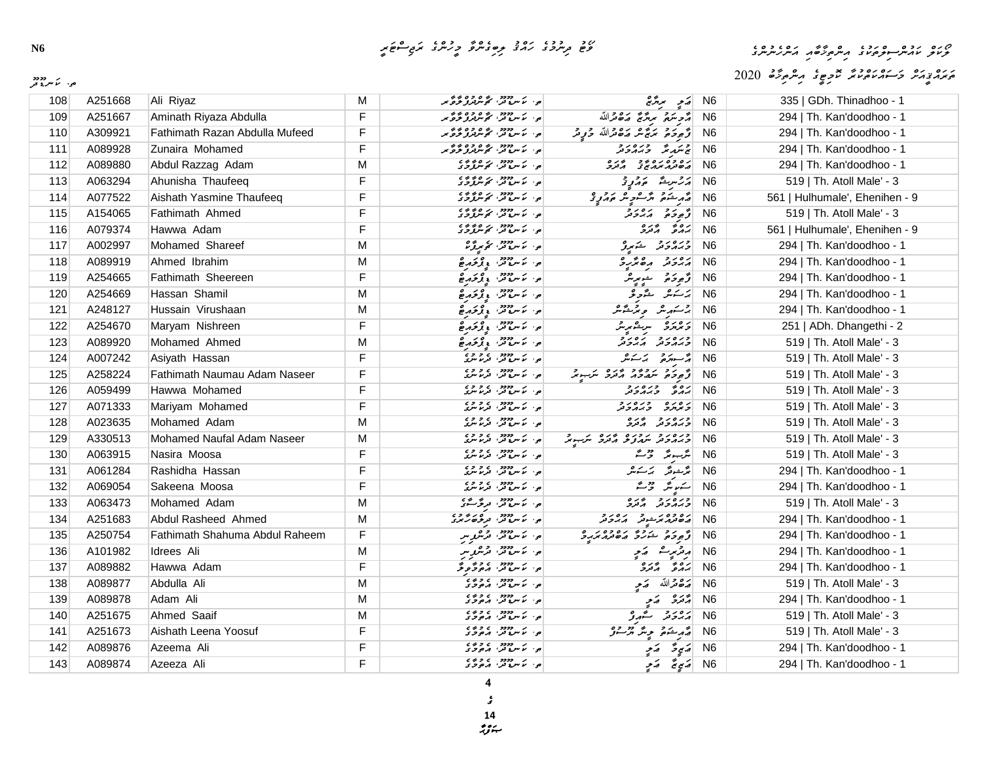*ޯކަލް ކައުންސިލްތަކުގެ އިންތިޚާބާއި އަންހެނުންގެ ވޯ ލ ތަރައްޤީއަށް މަސައްކަތްކުރާ ކޮމިޓީގެ އިންތިޚާބު 2020*

| 108 | A251668 | Ali Riyaz                      | M            | ى ، ئەس <sup>ەدەد</sup> ، ئەس <i>دە بەي</i> ر                                                                                                                                                                                   | أوسمح سرورهم                          | N <sub>6</sub> | 335   GDh. Thinadhoo - 1       |
|-----|---------|--------------------------------|--------------|---------------------------------------------------------------------------------------------------------------------------------------------------------------------------------------------------------------------------------|---------------------------------------|----------------|--------------------------------|
| 109 | A251667 | Aminath Riyaza Abdulla         | E            | ه ۲۰۰۰ مترود به ۱۶۵۶ وروپ.<br>د ۱۰ مترس تر که مترفرنو ترک                                                                                                                                                                       | أروسكم مرتزع أركافرالله               | N <sub>6</sub> | 294   Th. Kan'doodhoo - 1      |
| 110 | A309921 | Fathimath Razan Abdulla Mufeed | F            | پر کامن دودو در ۱۹۶۵ و کاملی<br>  پر سال کامن کامل کامل کاملی کوهر کاملی کاملی کاملی کاملی کاملی کاملی کاملی کاملی کاملی کاملی کاملی کاملی کاملی                                                                                | و برد برو مرکز میگرانه در د           | N <sub>6</sub> | 294   Th. Kan'doodhoo - 1      |
| 111 | A089928 | Zunaira Mohamed                | F            | ه ۲۰۰۰ میلاد و ۲۵۶۵ و در در بر<br>۲۰۰۰ میلاد که میلاد و برو بر                                                                                                                                                                  | בעגל בגופנ                            | N6             | 294   Th. Kan'doodhoo - 1      |
| 112 | A089880 | Abdul Razzag Adam              | м            | ه ۱۰ کمپروژه کرده وروزه کار                                                                                                                                                                                                     | גם כסגם שב שגם<br>השינו ינו יש הינק   | N6             | 294   Th. Kan'doodhoo - 1      |
| 113 | A063294 | Ahunisha Thaufeeq              | $\mathsf{F}$ | ن ئەستەت ئۆسۈم كە                                                                                                                                                                                                               | أركر سريند أأو أورق                   | N <sub>6</sub> | 519   Th. Atoll Male' - 3      |
| 114 | A077522 | Aishath Yasmine Thaufeeq       | F            | ه کارودو کاروده                                                                                                                                                                                                                 | م المستكفر المستوسر المستوريج         | N <sub>6</sub> | 561   Hulhumale', Ehenihen - 9 |
| 115 | A154065 | Fathimath Ahmed                | F            | لى ئەس دەپىر ئەھر <i>ۈرى</i> ئ                                                                                                                                                                                                  | توجوحو برورد                          | N <sub>6</sub> | 519   Th. Atoll Male' - 3      |
| 116 | A079374 | Hawwa Adam                     | F            | ه کامن دود کام شود د                                                                                                                                                                                                            | ره و په ده                            | N <sub>6</sub> | 561   Hulhumale', Ehenihen - 9 |
| 117 | A002997 | Mohamed Shareef                | м            | ە ئەسىن تەرىپ كىم بورى<br>مەسىن تىرىكى بىر تىرىپ                                                                                                                                                                                | ورەر دىئىرۇ                           | N <sub>6</sub> | 294   Th. Kan'doodhoo - 1      |
| 118 | A089919 | Ahmed Ibrahim                  | M            | أوسكس ودودا وتخرم والمحمد                                                                                                                                                                                                       | גפנק גם תניב                          | N <sub>6</sub> | 294   Th. Kan'doodhoo - 1      |
| 119 | A254665 | Fathimath Sheereen             | E            | ه کامرودو وره ه                                                                                                                                                                                                                 | ۇۋۇۋۇ شېرىش                           | N <sub>6</sub> | 294   Th. Kan'doodhoo - 1      |
| 120 | A254669 | Hassan Shamil                  | M            | أوسأستغفر ويخدع                                                                                                                                                                                                                 | پرسکس مشروقی                          | N <sub>6</sub> | 294   Th. Kan'doodhoo - 1      |
| 121 | A248127 | Hussain Virushaan              | M            | ه پاس دود.                                                                                                                                                                                                                      | بركسهر وبرشرش                         | N <sub>6</sub> | 294   Th. Kan'doodhoo - 1      |
| 122 | A254670 | Maryam Nishreen                | F            | ه ، مأسنة قرّ ، ورقته هي                                                                                                                                                                                                        | دەرە سىشىر                            | N <sub>6</sub> | 251   ADh. Dhangethi - 2       |
| 123 | A089920 | Mohamed Ahmed                  | M            | وسأستغفض وتزخمه                                                                                                                                                                                                                 | כנסנכ נסנכ<br>כ <i>ג</i> וכנ וגכנ     | N6             | 519   Th. Atoll Male' - 3      |
| 124 | A007242 | Asiyath Hassan                 | F            | دی سرچينې د ده ده<br>  دی سرچينې افريق سرچ                                                                                                                                                                                      | ۇسىزە ئەسكىر                          | N6             | 519   Th. Atoll Male' - 3      |
| 125 | A258224 | Fathimath Naumau Adam Naseer   | F            | ه ۱۰ کورو ده ده ده در کاربرد کاربرد کرد.<br>د است کوربرد کوربر کوربر                                                                                                                                                            | و د د د د د د د ه د ه سرب             | N6             | 519   Th. Atoll Male' - 3      |
| 126 | A059499 | Hawwa Mohamed                  | F            | ه ۱۰ کورو ده ده ده کار در در است.<br>امو ۱۰ کورس کور در سری                                                                                                                                                                     | ره په دره رو<br>برمو وبروتر           | N <sub>6</sub> | 519   Th. Atoll Male' - 3      |
| 127 | A071333 | Mariyam Mohamed                | F            | ه ۱۰ کورو ده ده ده کار ده کار ده کار ده کار ده کار ده کار ده کار ده کار ده کار ده کار ده کار ده کار ده کار ده<br>ده کار کار ده کار ده کار کار ده کار ده کار ده کار ده کار ده کار ده کار ده کار ده کار ده کار ده کار ده کار ده ک | ورە رو<br><i>دى</i> رگە خر<br>خ ټروره | N <sub>6</sub> | 519   Th. Atoll Male' - 3      |
| 128 | A023635 | Mohamed Adam                   | M            | ه ۱۰ کردود و د د د د د کار است.<br>امو ۱۰ کامل کارا کرد کار کاری                                                                                                                                                                | כנסני בנס                             | N <sub>6</sub> | 519   Th. Atoll Male' - 3      |
| 129 | A330513 | Mohamed Naufal Adam Naseer     | м            | ے مس دورہ ہے وہ ہے<br>اس کا س قرآن فرما س                                                                                                                                                                                       | ورەرو رورە بەرە س.                    | N <sub>6</sub> | 519   Th. Atoll Male' - 3      |
| 130 | A063915 | Nasira Moosa                   | F            | ە ئەس دەس ئەرەپى<br>مەن ئىس ئىرا ئىرىما ئىرى                                                                                                                                                                                    | لترجيحه الرحمية                       | N <sub>6</sub> | 519   Th. Atoll Male' - 3      |
| 131 | A061284 | Rashidha Hassan                | F            | ى ئەس دەر                                                                                                                                                                                                                       | <i>گرشونر پر سک</i> ر                 | N <sub>6</sub> | 294   Th. Kan'doodhoo - 1      |
| 132 | A069054 | Sakeena Moosa                  | F            | ه ۱۰ کورو ده ده ده در کاربرد کاربرد کرد.<br>امو ۱۰ کوربرد کوربر کوربرد کرد کرد کرد کرد                                                                                                                                          | سەر بەر ئەس                           | N <sub>6</sub> | 294   Th. Kan'doodhoo - 1      |
| 133 | A063473 | Mohamed Adam                   | M            | ە ، ئەسمەتر، بىرىگە ئە                                                                                                                                                                                                          | ورەرو ئەرە                            | N <sub>6</sub> | 519   Th. Atoll Male' - 3      |
| 134 | A251683 | Abdul Rasheed Ahmed            | M            | ه که ۱۶۲۵ ورو ور                                                                                                                                                                                                                | رە دە كەشىر ھەر دەر د                 | N <sub>6</sub> | 294   Th. Kan'doodhoo - 1      |
| 135 | A250754 | Fathimath Shahuma Abdul Raheem | F            | ه که ۱۶۶۲ وگورس                                                                                                                                                                                                                 | و د د د د د د ده ده در ه              | N <sub>6</sub> | 294   Th. Kan'doodhoo - 1      |
| 136 | A101982 | Idrees Ali                     | M            | ه ۱۰ کوروو وره در در کار کرد.<br>امو ۱۰ کورونو کورونو کورونو کورونو کورونو کورونو کورونو کورونو کورونو کورونو کورونو کورونو کورونو کورونو کورون                                                                                 | أرفرس كرمو                            | N6             | 294   Th. Kan'doodhoo - 1      |
| 137 | A089882 | Hawwa Adam                     | F            | ه ۱۵۰۰ وده دره وغیرون                                                                                                                                                                                                           | رەپ پەرە<br>پەيرى ئەتىر <i>ى</i>      | N6             | 294   Th. Kan'doodhoo - 1      |
| 138 | A089877 | Abdulla Ali                    | M            | $\begin{pmatrix} 0 & 0 & 0 & 0 & 0 \\ 0 & 0 & 0 & 0 & 0 \\ 0 & 0 & 0 & 0 & 0 \\ 0 & 0 & 0 & 0 & 0 \end{pmatrix}$                                                                                                                | مَە قىراللە مەج                       | N <sub>6</sub> | 519   Th. Atoll Male' - 3      |
| 139 | A089878 | Adam Ali                       | м            |                                                                                                                                                                                                                                 | ړوو کړې                               | N6             | 294   Th. Kan'doodhoo - 1      |
| 140 | A251675 | Ahmed Saaif                    | M            | ه که موجود ده ده در در د                                                                                                                                                                                                        | برەر دېمبرو                           | N <sub>6</sub> | 519   Th. Atoll Male' - 3      |
| 141 | A251673 | Aishath Leena Yoosuf           | F            | ه ۱۰ متر دود.<br>۲۰ متر متر از متر در ۱۶ متر و بر                                                                                                                                                                               | ە ئەسسىدە بەش ئۇستۇ                   | N <sub>6</sub> | 519   Th. Atoll Male' - 3      |
| 142 | A089876 | Azeema Ali                     | F            | ه کردود.<br>می کاس فران مردم و د                                                                                                                                                                                                | ړې په کې                              | N <sub>6</sub> | 294   Th. Kan'doodhoo - 1      |
| 143 | A089874 | Azeeza Ali                     | F            | ه کردود ، ده،<br>ه کس تر                                                                                                                                                                                                        | ړې په                                 | N <sub>6</sub> | 294   Th. Kan'doodhoo - 1      |

*4 ގެ*

**14** 

*ޞަފްޙާ*

می. ک*ر سر* ۶۵<br>می. کر سر ۶ قر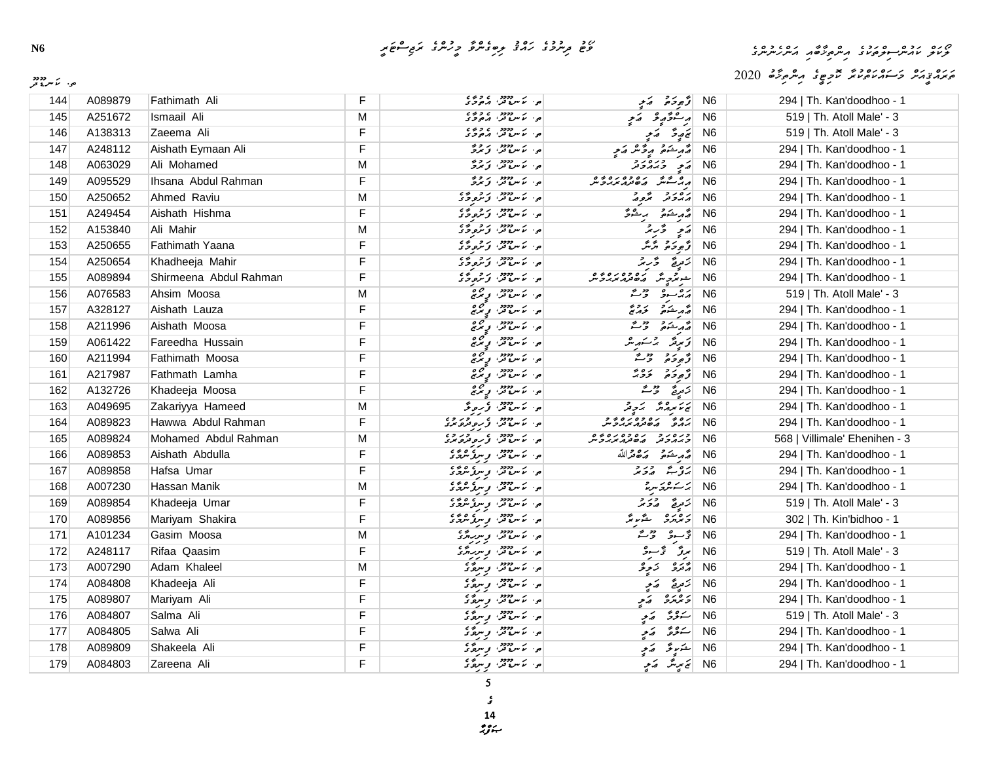می. ک*ر سر*و <del>در</del><br>می. کر سر ع قر

*ޯކަލް ކައުންސިލްތަކުގެ އިންތިޚާބާއި އަންހެނުންގެ ވޯ ލ*

*ތަރައްޤީއަށް މަސައްކަތްކުރާ ކޮމިޓީގެ އިންތިޚާބު 2020*

| 144 | A089879 | Fathimath Ali          | F  | ه کردود و ده و                                          | وحجوحكم الكامحي                            | N <sub>6</sub> | 294   Th. Kan'doodhoo - 1     |
|-----|---------|------------------------|----|---------------------------------------------------------|--------------------------------------------|----------------|-------------------------------|
| 145 | A251672 | Ismaail Ali            | м  | ه ۱۰ مودد ده وره و                                      | N6   م <i>رحوم وهي الم</i> حم              |                | 519   Th. Atoll Male' - 3     |
| 146 | A138313 | Zaeema Ali             | F  |                                                         | كالمجامية وأوالمح                          | N <sub>6</sub> | 519   Th. Atoll Male' - 3     |
| 147 | A248112 | Aishath Eymaan Ali     | F  | ه ۱۰ کالبرود در ورو<br>اما کالبرد کالبرانو کالبر        | N6   صَّەتِ شَمَّة الْمَحِرْ الْمَالْمِي   |                | 294   Th. Kan'doodhoo - 1     |
| 148 | A063029 | Ali Mohamed            | M  | أوسكس لاقترار والمحرج                                   | N6 <i>مَجِ وَبَهُوَوَتَر</i> ُ             |                | 294   Th. Kan'doodhoo - 1     |
| 149 | A095529 | Ihsana Abdul Rahman    | F  | ه ۱۵۲۰ ورود در دره<br>د ۱۷ سالو کل کردگر                | N6 مەشقىر مەھ <i>ىرە ئەرقى</i> ر           |                | 294   Th. Kan'doodhoo - 1     |
| 150 | A250652 | Ahmed Raviu            | M  | ه که ۱۳۶۲ وروپ                                          | أزرونه بمرور                               | N6             | 294   Th. Kan'doodhoo - 1     |
| 151 | A249454 | Aishath Hishma         | F  | لى ئەسىنەت كەشر <i>ە</i> ر ئەس                          | أور مشكاتها المرسطاني                      | N6             | 294   Th. Kan'doodhoo - 1     |
| 152 | A153840 | Ali Mahir              | M  | ه کامن دود. د و په و                                    | أەيج الحرار                                | N <sub>6</sub> | 294   Th. Kan'doodhoo - 1     |
| 153 | A250655 | Fathimath Yaana        | F  | لى ئەسىنى ئەرەپ                                         | أؤجرتم ترتثر                               | N6             | 294   Th. Kan'doodhoo - 1     |
| 154 | A250654 | Khadheeja Mahir        | F  | ه که ۱۶ وود و در                                        | أرَسِيعٌ وَرِيْرٌ                          | N <sub>6</sub> | 294   Th. Kan'doodhoo - 1     |
| 155 | A089894 | Shirmeena Abdul Rahman | F  | ه که ۱۶۶۵ و ده په                                       | شومرو شر ماه وه ره ده ه                    | N <sub>6</sub> | 294   Th. Kan'doodhoo - 1     |
| 156 | A076583 | Ahsim Moosa            | M  | ه ، ئاس دود.<br>من ئاس قرار بوسری                       | $23 - 22$ N6                               |                | 519   Th. Atoll Male' - 3     |
| 157 | A328127 | Aishath Lauza          | F  | ه ، مأس قرار من و مربع                                  | وأرشكم والمحمد                             | N <sub>6</sub> | 294   Th. Kan'doodhoo - 1     |
| 158 | A211996 | Aishath Moosa          | E  | ە ئەسىيەت دەھ                                           | $23 - 22 - 5$ N6                           |                | 294   Th. Kan'doodhoo - 1     |
| 159 | A061422 | Fareedha Hussain       | F  | ه . مأس يومبر من محرم .                                 | N6 كۆمچە پر ئەسكەر ئىگ                     |                | 294   Th. Kan'doodhoo - 1     |
| 160 | A211994 | Fathimath Moosa        | F  | ه ، ئاس دود. په مربع                                    | N6 <i>وُهِ دَهْ</i> وَ"                    |                | 294   Th. Kan'doodhoo - 1     |
| 161 | A217987 | Fathmath Lamha         | F  | ه . مأس يوجد من محمد من حالي                            | N6 <i>وُّجِوحَةً</i> تَحَرَّبُّ            |                | 294   Th. Kan'doodhoo - 1     |
| 162 | A132726 | Khadeeja Moosa         | F  | ه ، ئاس دور ، پوسی                                      | أركونج أأترجى                              | N <sub>6</sub> | 294   Th. Kan'doodhoo - 1     |
| 163 | A049695 | Zakariyya Hameed       | M  | ە ، ئەسەبىر، ئەرەنگ                                     | N6 تج <i>مَّ بعده مَّدَّ بَ</i> حَدِ مِرَّ |                | 294   Th. Kan'doodhoo - 1     |
| 164 | A089823 | Hawwa Abdul Rahman     | F  | ه ۱۶ مترون و در در در د                                 |                                            | N <sub>6</sub> | 294   Th. Kan'doodhoo - 1     |
| 165 | A089824 | Mohamed Abdul Rahman   | M  | ه ۷۰ مترود و در وران<br>مستعملاتها اور وترویزو برد      | כנסגב גםכסגם 20<br>כגובכת גםתותגבית        | N <sub>6</sub> | 568   Villimale' Ehenihen - 3 |
| 166 | A089853 | Aishath Abdulla        | E  | ه که من دود.<br>اما که کلامی از منتزل مرکز کرد که       | مەرشىق مەھىراللە                           | N <sub>6</sub> | 294   Th. Kan'doodhoo - 1     |
| 167 | A089858 | Hafsa Umar             | E  | ے میں دور ہے کہ دی ہے ۔<br>  یہ ماسی فراد کر سرفر سرچار | رەپ دىر                                    | N <sub>6</sub> | 294   Th. Kan'doodhoo - 1     |
| 168 | A007230 | Hassan Manik           | M  | ه کاموانی وسرمانه                                       | ئەسەئىرى ئىرى <i>رى</i>                    | N6             | 294   Th. Kan'doodhoo - 1     |
| 169 | A089854 | Khadeeja Umar          | F  | ه کاملانی وسرمانه                                       | تزمرج المرواحر                             | N <sub>6</sub> | 519   Th. Atoll Male' - 3     |
| 170 | A089856 | Mariyam Shakira        | F. | ه کامن دود. و مرد ۱۶۵۵                                  | N6 كَيْرْتَرْدْ شْرَبْدْ                   |                | 302   Th. Kin'bidhoo - 1      |
| 171 | A101234 | Gasim Moosa            | M  | ه کامودود و مرزود                                       | تخ سوم حقیقے                               | N <sub>6</sub> | 294   Th. Kan'doodhoo - 1     |
| 172 | A248117 | Rifaa Qaasim           | E  | ه کامودود و مرزود                                       | بروٌ وَ" — د                               | N <sub>6</sub> | 519   Th. Atoll Male' - 3     |
| 173 | A007290 | Adam Khaleel           | M  | ه که دوده وسره د                                        | دگری زَرِوْ                                | N <sub>6</sub> | 294   Th. Kan'doodhoo - 1     |
| 174 | A084808 | Khadeeja Ali           | F  | ه . م <i>ن سروده و سره ک</i>                            | تزميرة _ صَ مِرْ                           | N6             | 294   Th. Kan'doodhoo - 1     |
| 175 | A089807 | Mariyam Ali            | F  | ه . با سرود .<br>ه . با سروتر . و سره ی                 | ويوره كمبر                                 | N <sub>6</sub> | 294   Th. Kan'doodhoo - 1     |
| 176 | A084807 | Salma Ali              | F  |                                                         | استوقر ارتبع                               | N6             | 519   Th. Atoll Male' - 3     |
| 177 | A084805 | Salwa Ali              | F  | ه ، مأس دود.<br>مستعمل المعنى المحمد المحمد             | ستوقد الأجر                                | N <sub>6</sub> | 294   Th. Kan'doodhoo - 1     |
| 178 | A089809 | Shakeela Ali           | F  | ه ۱۰ کورود و سره د                                      | المشربانجن الكافر                          | N <sub>6</sub> | 294   Th. Kan'doodhoo - 1     |
| 179 | A084803 | Zareena Ali            | F  | ه که دده وسره د                                         | N6  تح بریٹر   ک <i>ے بو</i>               |                | 294   Th. Kan'doodhoo - 1     |

*5 ގެ*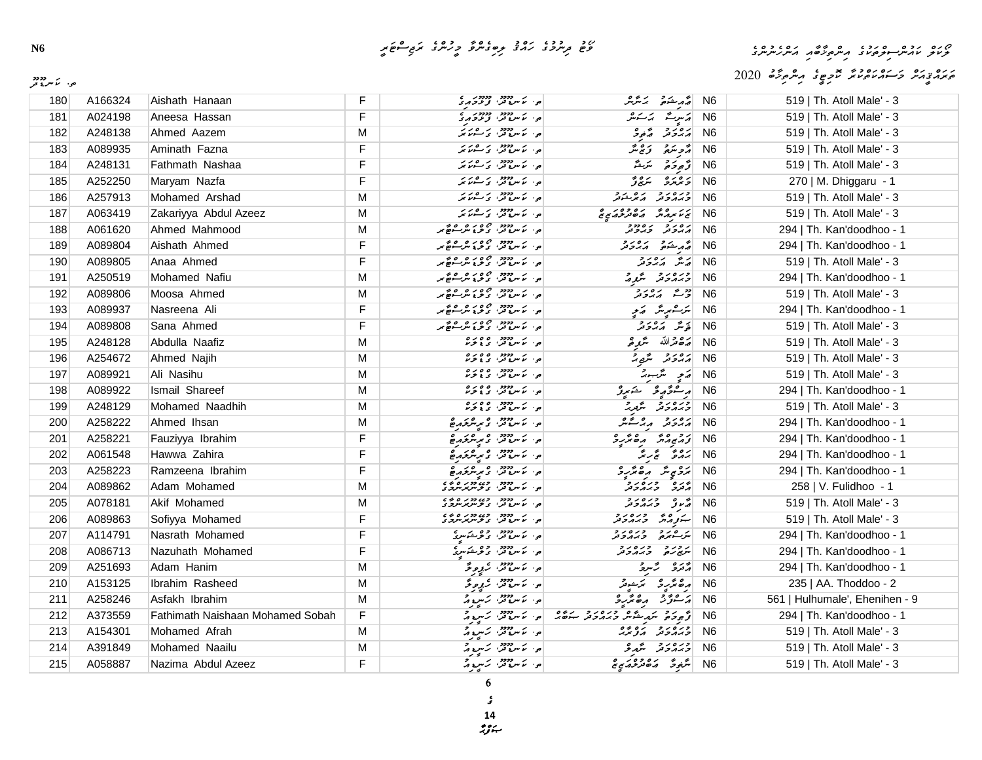*ޯކަލް ކައުންސިލްތަކުގެ އިންތިޚާބާއި އަންހެނުންގެ ވޯ ލ*

*ތަރައްޤީއަށް މަސައްކަތްކުރާ ކޮމިޓީގެ އިންތިޚާބު 2020*

| می کردود<br>می کردرو فر |         |                                  |   |                                                     |                                                  |                | خيرتر ونەترىن قوينىڭ ئارچى بەشمەنغا 2020<br>ئ |
|-------------------------|---------|----------------------------------|---|-----------------------------------------------------|--------------------------------------------------|----------------|-----------------------------------------------|
| 180                     | A166324 | Aishath Hanaan                   | F | ه کسی دوود دوود د د.<br>ه کاس فرانس کو برای در      | N6   مَدْمَسْمَعْ سَرَسْرَ مَرْ                  |                | 519   Th. Atoll Male' - 3                     |
| 181                     | A024198 | Aneesa Hassan                    | F | ه که دوود دورد و<br>ه کاس ترک فرکرد و               | N6 كەيىرىشە ئەسكەنلە                             |                | 519   Th. Atoll Male' - 3                     |
| 182                     | A248138 | Ahmed Aazem                      | м | ى ئەستۇقرا ئەسىرىم                                  | N6 <i>مَدْدَوْرٌ مُ</i> ّەرْ                     |                | 519   Th. Atoll Male' - 3                     |
| 183                     | A089935 | Aminath Fazna                    | F | ى ئەس دەس ئەسىر                                     | N6 أَمَّ <i>حَسَنَهُ وَيُحَ</i> مَّرَ            |                | 519   Th. Atoll Male' - 3                     |
| 184                     | A248131 | Fathmath Nashaa                  | F | ى ئەس دەس ئەسىر                                     | N6 تَ <i>جِوحَةُ</i> سَرَيْتُهُ                  |                | 519   Th. Atoll Male' - 3                     |
| 185                     | A252250 | Maryam Nazfa                     | F | ى ئەستەت ئەسىر                                      | N6 كەب <i>ترىرى بىرى ئى</i>                      |                | 270   M. Dhiggaru - 1                         |
| 186                     | A257913 | Mohamed Arshad                   | M | ى ئەستەتر، ئەسىر                                    | ورەرو كەشكە                                      | N6             | 519   Th. Atoll Male' - 3                     |
| 187                     | A063419 | Zakariyya Abdul Azeez            | M | ى ئەستەتر، ئەسىر                                    | ב בית הפינים בי                                  | N6             | 519   Th. Atoll Male' - 3                     |
| 188                     | A061620 | Ahmed Mahmood                    | М | ه ، ئاس دود مى درە مەھ                              | N6 <i>ړېږي وچينې</i>                             |                | 294   Th. Kan'doodhoo - 1                     |
| 189                     | A089804 | Aishath Ahmed                    | F | ه ، كاس دود من داره ره ديگر                         | N6 مُم شَمَّ مَدَّدَتْر                          |                | 294   Th. Kan'doodhoo - 1                     |
| 190                     | A089805 | Anaa Ahmed                       | F | ە سىرەدە مەدەرە ھەم                                 | N6 كَمَدَّرْ كَمَدْكَرْمْرْ                      |                | 519   Th. Atoll Male' - 3                     |
| 191                     | A250519 | Mohamed Nafiu                    | м | ه ، با مرددو می ورو مرد هم                          | ورەرو شرە                                        | N6             | 294   Th. Kan'doodhoo - 1                     |
| 192                     | A089806 | Moosa Ahmed                      | M | ه ، كاس دود من داره ره ده بر                        | روم پرورو                                        | N6             | 519   Th. Atoll Male' - 3                     |
| 193                     | A089937 | Nasreena Ali                     | F | ى ئاسەدە 2010 قايرىنى                               | N6   سَرَڪْمِرِسَّر - صَعِ                       |                | 294   Th. Kan'doodhoo - 1                     |
| 194                     | A089808 | Sana Ahmed                       | F | ى ئاس دەھرەر ئەرگە ئاس ئەھ                          | تۇش كەردىتى                                      | N6             | 519   Th. Atoll Male' - 3                     |
| 195                     | A248128 | Abdulla Naafiz                   | М | ه که پیوه ۱۶۵۵                                      | N6 كَرْحْقْرْاللّه شَمْرُهْ                      |                | 519   Th. Atoll Male' - 3                     |
| 196                     | A254672 | Ahmed Najih                      | M | ه که موجود ۱۵۵۵<br>د که موقع و د د کار              | N6 كەش <sup>ى</sup> رىقى ئىگى <i>ن</i> ى         |                | 519   Th. Atoll Male' - 3                     |
| 197                     | A089921 | Ali Nasihu                       | M | ه ، ئاس دود ، وه ده                                 | N6   رَمِ سَرَ- ثَرُ                             |                | 519   Th. Atoll Male' - 3                     |
| 198                     | A089922 | <b>Ismail Shareef</b>            | M | ه ۱۵۶۵ وره<br>مساحد ديگر                            | N6 مەش <i>ۇم</i> ۇ خىرۇ                          |                | 294   Th. Kan'doodhoo - 1                     |
| 199                     | A248129 | Mohamed Naadhih                  | M | ه ۱۵۶۵ وره<br>د کامن تر، ۶۶ ولا                     | N6 ديرورو سگيريز                                 |                | 519   Th. Atoll Male' - 3                     |
| 200                     | A258222 | Ahmed Ihsan                      | М | ه كاستعمر وروز                                      | N6 كەبرى قىر مەرشىشىر                            |                | 294   Th. Kan'doodhoo - 1                     |
| 201                     | A258221 | Fauziyya Ibrahim                 | F | ه کاس دوره و برگرده                                 | N6 زَرۡ مِیۡ مِنۡ مِعۡ مِنۡ مِنَ                 |                | 294   Th. Kan'doodhoo - 1                     |
| 202                     | A061548 | Hawwa Zahira                     | F | ه کاس دوره و برگرده                                 | N6 <i>يَدُوَّة</i> جَرِيْرَ                      |                | 294   Th. Kan'doodhoo - 1                     |
| 203                     | A258223 | Ramzeena Ibrahim                 | F | ه ۱۰ متروفر و مرموکرد ه                             | N6 <i>بَدْدْ بِي مَّا مِنْ مِّدْرِدْ</i>         |                | 294   Th. Kan'doodhoo - 1                     |
| 204                     | A089862 | Adam Mohamed                     | M | פי עיתכר כמידור ביטי<br>פי עיתכתי ביביות ביניבצ     | N6 كەتىر <i>ى جەمم</i> ەتەر                      |                | 258   V. Fulidhoo - 1                         |
| 205                     | A078181 | Akif Mohamed                     | М | ه ۱۵ میلاد ورو در ۲۵ ورو<br>۲۰ میلانس و میلامین     | N6 مُمَارٌ وَيَهْدَوَنَّهُ                       |                | 519   Th. Atoll Male' - 3                     |
| 206                     | A089863 | Sofiyya Mohamed                  | F | ه ۱۵ مود دره ۲۶۵ ورو در ۲۵<br>ه امکس تراکز مسلم سرچ | N6 بنورش ديرونر                                  |                | 519   Th. Atoll Male' - 3                     |
| 207                     | A114791 | Nasrath Mohamed                  | F | ه کاموده ووځین                                      | ش عرد وره در                                     | N6             | 294   Th. Kan'doodhoo - 1                     |
| 208                     | A086713 | Nazuhath Mohamed                 | F | ى ئەسەدەر دەھكەس                                    | برور وره در                                      | N6             | 294   Th. Kan'doodhoo - 1                     |
| 209                     | A251693 | Adam Hanim                       | M | ە ئەس دەس ئ <sub>ە</sub> رە ئ                       | N6 گەنترى گەرگە                                  |                | 294   Th. Kan'doodhoo - 1                     |
| 210                     | A153125 | Ibrahim Rasheed                  | M | ە بە ئەس ئۇرۇغ                                      | الاھەتگرىدى كەسىدىگر                             | N <sub>6</sub> | 235   AA. Thoddoo - 2                         |
| 211                     | A258246 | Asfakh Ibrahim                   | M | ه ، ئاس دود. كەسدە كە                               | ړ هغور د هغربه                                   | N6             | 561   Hulhumale', Ehenihen - 9                |
| 212                     | A373559 | Fathimath Naishaan Mohamed Sobah | F |                                                     | و و د و سر مشر و داد و د ده و است د دود و د در د | N6             | 294   Th. Kan'doodhoo - 1                     |
| 213                     | A154301 | Mohamed Afrah                    | M | ه ، ئاس دود. كەسدە كە                               | N6 دېمگرې کړه <i>مگر</i>                         |                | 519   Th. Atoll Male' - 3                     |
| 214                     | A391849 | Mohamed Naailu                   | M | ە ئەستۇق ئەسدە                                      | ورەرو شەۋ                                        | N6             | 519   Th. Atoll Male' - 3                     |
| 215                     | A058887 | Nazima Abdul Azeez               | F | ە ئەستەتر، ئەسەر                                    | شرە ئەھەر ئەرە                                   | <b>N6</b>      | 519   Th. Atoll Male' - 3                     |

*6 ގެ*

**14**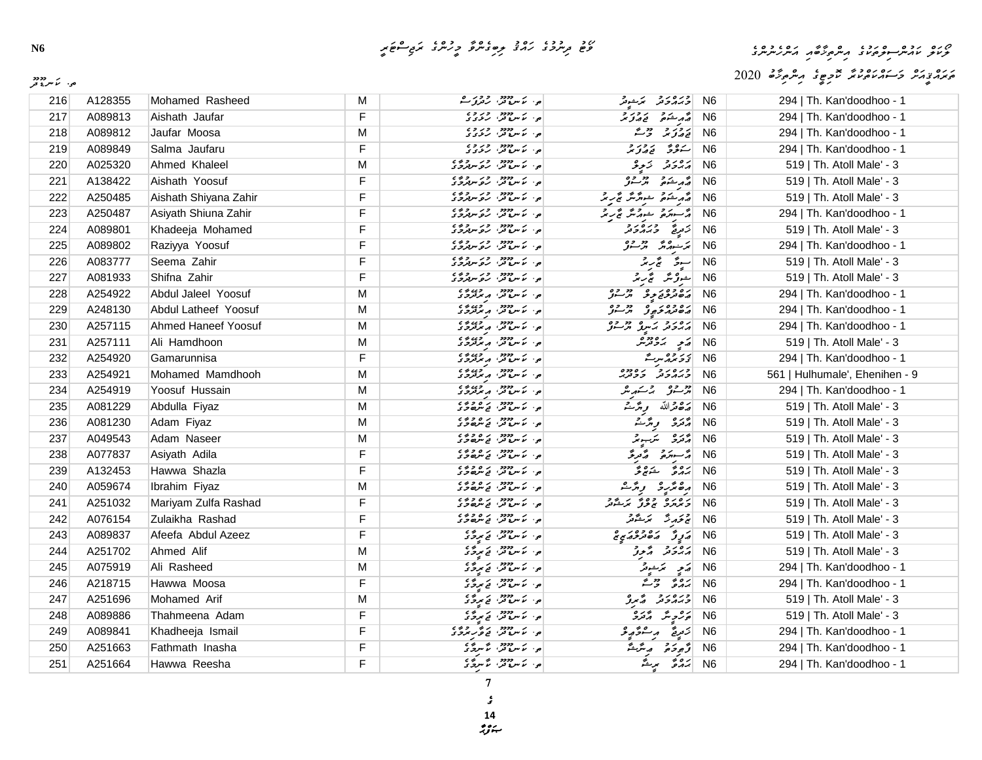*ރީ ޓަ ޖިސް ރަ ގެ ން ހު މީ ވާ ން ގެ ބި ލި ޤު އް ހަ ގެ މު ދިނު ޓު ވޯ*

<del>خرىكى ئام.ش بوھەندى مەشھەردە مەشرىتىرىش ئا</del> *2020 ބު ތިޚާ އިން ގެ ޓީ މި ކޮ ރާ ކު ތް ކަ އް ސަ މަ ށް އަ ޤީ އް ރަ ތަ*

| می ترمزغ قر |         |                            |             |                                                                                                                                                                                                                                  |                                                                       |                | シース・ランド・シート<br>$\bullet$       |
|-------------|---------|----------------------------|-------------|----------------------------------------------------------------------------------------------------------------------------------------------------------------------------------------------------------------------------------|-----------------------------------------------------------------------|----------------|--------------------------------|
| 216         | A128355 | Mohamed Rasheed            | M           | ە ، ئەستەتر، زېڭرىشە                                                                                                                                                                                                             | ورەرو كەنبەتر                                                         | N <sub>6</sub> | 294   Th. Kan'doodhoo - 1      |
| 217         | A089813 | Aishath Jaufar             | F           |                                                                                                                                                                                                                                  | أمار المسكومي والمتحارث والمحر                                        | N6             | 294   Th. Kan'doodhoo - 1      |
| 218         | A089812 | Jaufar Moosa               | M           | ه ۱۰ کمبروی در دره<br>اما کمبروتش گروی                                                                                                                                                                                           | $23 - 252 = 10$                                                       |                | 294   Th. Kan'doodhoo - 1      |
| 219         | A089849 | Salma Jaufaru              | F           |                                                                                                                                                                                                                                  | سرور محمدتونز                                                         | N <sub>6</sub> | 294   Th. Kan'doodhoo - 1      |
| 220         | A025320 | Ahmed Khaleel              | M           | ه ۱۰ کامل ۲۶۵ وروپه<br>د کامل لري                                                                                                                                                                                                | رور د زېږو                                                            | N6             | 519   Th. Atoll Male' - 3      |
| 221         | A138422 | Aishath Yoosuf             | F           | ه ۱۵۶۰ ورود ور<br>ه کامن فرا ره موفروی                                                                                                                                                                                           | ە ئەرسىنى ھەر دە                                                      | N <sub>6</sub> | 519   Th. Atoll Male' - 3      |
| 222         | A250485 | Aishath Shiyana Zahir      | F           | ه ۱۰ کمبر در ۲۵۶۲ وروپور و در ۲۵۶۲ وروپور و در ۱۳۵۴ وروپور و در ۱۳۵۴ وروپور و در ۲۵ کلو کوچار و در ۲۵ کلو کلو                                                                                                                    | لەر ئىككى ئىسرىگىنى ئىمار بىر                                         | N <sub>6</sub> | 519   Th. Atoll Male' - 3      |
| 223         | A250487 | Asiyath Shiuna Zahir       | F           | ه ۱۰ کمبر در ۲۶۶<br>۲۰ کمبر در ایران                                                                                                                                                                                             | أَمُرْ سَيَرُو مُ شَيْرٍ مِنْ يَمْ رَبِّرٍ                            | N6             | 294   Th. Kan'doodhoo - 1      |
| 224         | A089801 | Khadeeja Mohamed           | F           | ه ۱۵۶۰ ورود ور<br>ه کامن فرا ره موفروی                                                                                                                                                                                           | N6   زَمَرِيَّ = دُبَرُودَوْرَ                                        |                | 519   Th. Atoll Male' - 3      |
| 225         | A089802 | Raziyya Yoosuf             | F           | ه ۱۰ کمبر دور ورود در در در در د                                                                                                                                                                                                 | $\begin{pmatrix} 0 & 2 & 2 \\ 2 & -2 & 2 \\ 1 & -2 & 2 \end{pmatrix}$ | N6             | 294   Th. Kan'doodhoo - 1      |
| 226         | A083777 | Seema Zahir                | F           | ه ۱۰ کمبر در ۲۶۶<br>۲۰ کمبر در ایران مرکز در                                                                                                                                                                                     | سوقت تج سر تمر                                                        | N <sub>6</sub> | 519   Th. Atoll Male' - 3      |
| 227         | A081933 | Shifna Zahir               | F           | ه ۱۰ کمبر در ۲۶۶<br>۲۰ کمبر در ایران مرکز در                                                                                                                                                                                     | ے واگر گا ہے کہ ہے                                                    | N <sub>6</sub> | 519   Th. Atoll Male' - 3      |
| 228         | A254922 | Abdul Jaleel Yoosuf        | M           | י מייעש בין ביט בי<br>ים יי מייעש בין ומיי <i>ע</i> ביב                                                                                                                                                                          | رە دەر دەر دە دە                                                      | N <sub>6</sub> | 294   Th. Kan'doodhoo - 1      |
| 229         | A248130 | Abdul Latheef Yoosuf       | M           | ه ۷۰ میلاده<br>۲۰ ماس کر او برگردی                                                                                                                                                                                               | גם כסבת פי ידי בם                                                     | N <sub>6</sub> | 294   Th. Kan'doodhoo - 1      |
| 230         | A257115 | <b>Ahmed Haneef Yoosuf</b> | M           | ه ۷ موسود و در ۲۵۵۵<br>۲ موسود استرات                                                                                                                                                                                            | N6   رَيْرَوَتْرَ بَرْسِرْدْ بْرْسْتْرْ                               |                | 294   Th. Kan'doodhoo - 1      |
| 231         | A257111 | Ali Hamdhoon               | M           | ه ۷۰ موسیقی از میگردی<br>۲۰ ماسی فرا از میگردی                                                                                                                                                                                   | N6   رَ <sub>ّحِ</sub> بَرْدْتَرْسْر                                  |                | 519   Th. Atoll Male' - 3      |
| 232         | A254920 | Gamarunnisa                | F           | ه ۱۰ کوروو در ۲۵۵ و د<br>ه ۱۰ کوسونه تر در مرفوری                                                                                                                                                                                | N6 كۆكەمەرىگە                                                         |                | 294   Th. Kan'doodhoo - 1      |
| 233         | A254921 | Mohamed Mamdhooh           | M           | ه که دودو وروپه وي.<br>د کاس کران د برترو و                                                                                                                                                                                      | כנסנכ נסמם<br>כגונכנג ככנג                                            | N <sub>6</sub> | 561   Hulhumale', Ehenihen - 9 |
| 234         | A254919 | Yoosuf Hussain             | M           |                                                                                                                                                                                                                                  | در ده د سکه ش                                                         | N6             | 294   Th. Kan'doodhoo - 1      |
| 235         | A081229 | Abdulla Fiyaz              | M           | ہ کے 1225 – 2020ء<br>می کاس فرائن کے سرھ 2ر                                                                                                                                                                                      | ە ھەقىراللە بورگرىشە                                                  | N6             | 519   Th. Atoll Male' - 3      |
| 236         | A081230 | Adam Fiyaz                 | M           | ם יי מייע ברבי המיישים ביביאים<br>יום יו מייע בייע ביו המייע ביו המייע ביו המייע ביו המייע ביו המייע ביו המייע ביו המייע ביו המייע ביו המייע ביו                                                                                 | أثرتره وتركث                                                          | N6             | 519   Th. Atoll Male' - 3      |
| 237         | A049543 | Adam Naseer                | M           | ם יי מייע ברבי המייחים ביביאים ביו המייע ביו המייע ביו המייע ביו המייע ביו המייע ביו המייע ביו המייע ביו המייע<br>המייע ביו המייע ביו המייע ביו המייע ביו המייע ביו המייע ביו המייע ביו המייע ביו המייע ביו המייע ביו המייע ביו  | أركرو الكرسور                                                         | N6             | 519   Th. Atoll Male' - 3      |
| 238         | A077837 | Asiyath Adila              | F           | ם יי מייע ברי היה ביטורי ביו היה ביו היה ביו היה ביו היה ביו היה ביו היה ביו היה ביו היה ביו היה ביו היה ביו ה<br>היה מייע ביו היה ביו היה ביו היה ביו היה ביו היה ביו היה ביו היה ביו היה ביו היה ביו היה בין היה בין היה בין ה | ئەسسىرى ئەرگى                                                         | N6             | 519   Th. Atoll Male' - 3      |
| 239         | A132453 | Hawwa Shazla               | F           | ه که دوود د ه د ده د                                                                                                                                                                                                             | پروژ شکھ گر                                                           | N6             | 519   Th. Atoll Male' - 3      |
| 240         | A059674 | Ibrahim Fiyaz              | м           | ہ کسی دوود ہے کہ دی ہے<br>اس کا سرو تر ان کے سری برای                                                                                                                                                                            | N6 رەمگرىر روگ ھ                                                      |                | 519   Th. Atoll Male' - 3      |
| 241         | A251032 | Mariyam Zulfa Rashad       | F           | ه که دود د ده ده د                                                                                                                                                                                                               | كەرە دەۋ بەيئى                                                        | N6             | 519   Th. Atoll Male' - 3      |
| 242         | A076154 | Zulaikha Rashad            | F           | ہ کسی دوود ہے کہ دی ہے<br>اس کا سرو تر ان کے سری برای                                                                                                                                                                            | ج تر در گر بر کرد کر                                                  | N6             | 519   Th. Atoll Male' - 3      |
| 243         | A089837 | Afeefa Abdul Azeez         | F           | ه کامن دود کام برگان                                                                                                                                                                                                             | <i>ړو ده ده ده پ</i> وځ                                               | N <sub>6</sub> | 519   Th. Atoll Male' - 3      |
| 244         | A251702 | Ahmed Alif                 | M           | ه کامن دود کام برگاه کام                                                                                                                                                                                                         | N6 <i>أَدُبْدُوَنْ أَدُونْ</i>                                        |                | 519   Th. Atoll Male' - 3      |
| 245         | A075919 | Ali Rasheed                | M           | ہ کا سرورود کے مورد کا                                                                                                                                                                                                           | N6   رَمِ - مَرْشِيقَر                                                |                | 294   Th. Kan'doodhoo - 1      |
| 246         | A218715 | Hawwa Moosa                | $\mathsf F$ | ه ۱۰ کامل ۱۶۶۶<br>ه ۱۰ کامل فر) او کام برگ                                                                                                                                                                                       | ره و دع                                                               | N6             | 294   Th. Kan'doodhoo - 1      |
| 247         | A251696 | Mohamed Arif               | M           | ه کامرودو کامرون                                                                                                                                                                                                                 | ورەرو ھىر                                                             | N6             | 519   Th. Atoll Male' - 3      |
| 248         | A089886 | Thahmeena Adam             | $\mathsf F$ | ه ۱۰ کامل ۱۶۶۶<br>ه ۱۰ کامل فر) او کام برگ                                                                                                                                                                                       | ەر ئەسىر ئەترە                                                        | N <sub>6</sub> | 519   Th. Atoll Male' - 3      |
| 249         | A089841 | Khadheeja Ismail           | F           | ه ۱۰ کامروژو د کام در ۱۶۵۶<br>او امکامرو فرا افغان مرکز د                                                                                                                                                                        | N6 زَمِرِيَّ مِ <sup>ر</sup> ْدَّمُ وَمُ                              |                | 294   Th. Kan'doodhoo - 1      |
| 250         | A251663 | Fathmath Inasha            | F           | ە ، ئەستەتر، ئەسرىگە                                                                                                                                                                                                             | N6   <i>وَّجودَة م</i> سَّرْتُهُ                                      |                | 294   Th. Kan'doodhoo - 1      |
| 251         | A251664 | Hawwa Reesha               | F           | ە ، ئەس دەر.<br>مۇ ، ئاس قرار ئاسرىرى                                                                                                                                                                                            | N6 كَدْرُمَّ مِرْئَةً.                                                |                | 294   Th. Kan'doodhoo - 1      |

7<br>**گ**<br>14

*ޞަފްޙާ* **14**

**N6**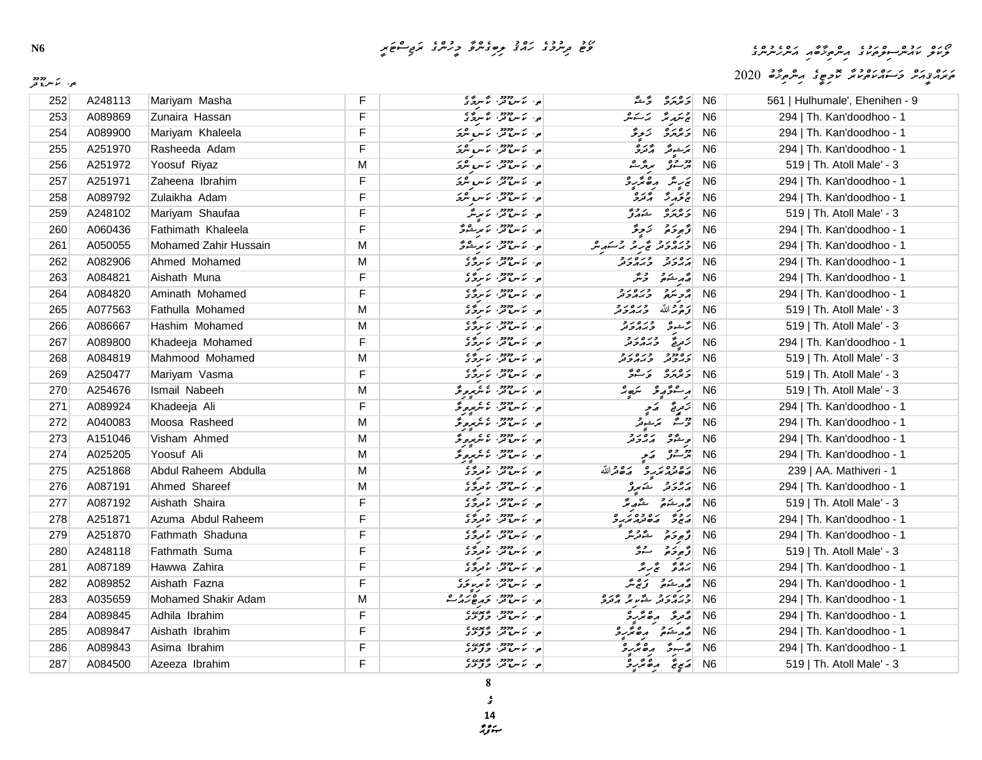*ޯކަލް ކައުންސިލްތަކުގެ އިންތިޚާބާއި އަންހެނުންގެ ވޯ ލ ތަރައްޤީއަށް މަސައްކަތްކުރާ ކޮމިޓީގެ އިންތިޚާބު 2020*

| می کردود<br>می کامر دو فر |         |                       |             |                                                                                        |                                             |                | خيرته ومتر الاستهزاء للمرادع المرادع المرجوزة الملاكلا |
|---------------------------|---------|-----------------------|-------------|----------------------------------------------------------------------------------------|---------------------------------------------|----------------|--------------------------------------------------------|
| 252                       | A248113 | Mariyam Masha         | F           | ە ، ئەسمەتر، ئەسرى                                                                     | كرەرە ئەڭ                                   | N6             | 561   Hulhumale', Ehenihen - 9                         |
| 253                       | A089869 | Zunaira Hassan        | F           | ە ، ئەستەتر، ئەسرى                                                                     | ى ئىرىم ئەسكەش                              | N6             | 294   Th. Kan'doodhoo - 1                              |
| 254                       | A089900 | Mariyam Khaleela      | F           | ه کاملاتر این کامل مرد کرد                                                             | تر ہ بر ہ<br>محمد مرکز<br>تزوی              | N6             | 294   Th. Kan'doodhoo - 1                              |
| 255                       | A251970 | Rasheeda Adam         | F           | ە بە ئەس ئەس ئىر                                                                       | كرشوش كرقرو                                 | N6             | 294   Th. Kan'doodhoo - 1                              |
| 256                       | A251972 | Yoosuf Riyaz          | M           | ە بە ئەس ئەس ئەس                                                                       | وزیرو پروگ                                  | N6             | 519   Th. Atoll Male' - 3                              |
| 257                       | A251971 | Zaheena Ibrahim       | F           | ە · ئەسمەت ئەسمەتتى ئە                                                                 | كاريش مقترره                                | N6             | 294   Th. Kan'doodhoo - 1                              |
| 258                       | A089792 | Zulaikha Adam         | F           | ە ·   ئەسرەت ئەس ئىرى                                                                  | تح تحمد تحمد محمدة المحمدة                  | N6             | 294   Th. Kan'doodhoo - 1                              |
| 259                       | A248102 | Mariyam Shaufaa       | F           | ە ، ئاسقاق ئايرىگە                                                                     | $5.22$ $-2.72$ $-16$                        |                | 519   Th. Atoll Male' - 3                              |
| 260                       | A060436 | Fathimath Khaleela    | F           | ى ئەستۇق ئىرىشۇ                                                                        | N6 گەچ قىم ئىمب                             |                | 294   Th. Kan'doodhoo - 1                              |
| 261                       | A050055 | Mohamed Zahir Hussain | М           | لى ئەس دەم ئىر ئىكەن ئىس ئىس                                                           | ورەرو ئەرىر رئىس ھ                          | N6             | 294   Th. Kan'doodhoo - 1                              |
| 262                       | A082906 | Ahmed Mohamed         | M           | پر سر پیدر دی تا سرچ کا                                                                | גפגב כגם בב<br>הגבע כגהכע                   | N6             | 294   Th. Kan'doodhoo - 1                              |
| 263                       | A084821 | Aishath Muna          | F           | ه ۱۰ ماسود براسمبرد کار                                                                | N6 گەرىش <i>ەق ۋىگ</i> ر                    |                | 294   Th. Kan'doodhoo - 1                              |
| 264                       | A084820 | Aminath Mohamed       | F           | پر سر پیدر دی تا سرچ کا                                                                | N6 <i>مُحسَنَّعْ</i> حَ <i>مَدْهُ حَ</i> دَ |                | 294   Th. Kan'doodhoo - 1                              |
| 265                       | A077563 | Fathulla Mohamed      | M           | ه کامن دود. کامروی                                                                     | N6 زَحْرْ بَهْ اللّه وَبَرْ مِرْدَ مَرْ     |                | 519   Th. Atoll Male' - 3                              |
| 266                       | A086667 | Hashim Mohamed        | M           | ە بە ئەس ئۆز ئەسرىتى ئە                                                                | گِشو ورەرو                                  | N6             | 519   Th. Atoll Male' - 3                              |
| 267                       | A089800 | Khadeeja Mohamed      | F           | ه کامن دود. کامروی                                                                     | N6 كَتَعِيقٌ وَيَرَمُّرْوَمَرُ              |                | 294   Th. Kan'doodhoo - 1                              |
| 268                       | A084819 | Mahmood Mohamed       | M           | ەس ئەسىردە ئەسرى                                                                       | נפחר כנסנב<br>כגבת כגובת                    | N6             | 519   Th. Atoll Male' - 3                              |
| 269                       | A250477 | Mariyam Vasma         | F           | ە بە ئەس دەم ئەس ئايرى ئ                                                               | رەرە كەشۇ                                   | N6             | 519   Th. Atoll Male' - 3                              |
| 270                       | A254676 | Ismail Nabeeh         | M           | ى ئاس دەھ ئاشىرە ئى                                                                    | م شۇمۇ سەر                                  | N6             | 519   Th. Atoll Male' - 3                              |
| 271                       | A089924 | Khadeeja Ali          | F           | ى ئەسمەت ئاشىرە ئى                                                                     | زَمِرةٌ = مَ مِ                             | N6             | 294   Th. Kan'doodhoo - 1                              |
| 272                       | A040083 | Moosa Rasheed         | М           | ى ئەسرەت ئايرىدو ئ                                                                     | الر <sup>وم</sup> كرشونر                    | N6             | 294   Th. Kan'doodhoo - 1                              |
| 273                       | A151046 | Visham Ahmed          | M           | ى ئەسرەت ئائىرىدۇ.                                                                     | وشگرق كەردىق                                | N6             | 294   Th. Kan'doodhoo - 1                              |
| 274                       | A025205 | Yoosuf Ali            | М           | ى ئەسەدە ئەتەبدە ئ                                                                     | دو ده و که پو                               | N <sub>6</sub> | 294   Th. Kan'doodhoo - 1                              |
| 275                       | A251868 | Abdul Raheem Abdulla  | M           | ه که دده تروی                                                                          | رە دەپرە برە ئراللە                         | N6             | 239   AA. Mathiveri - 1                                |
| 276                       | A087191 | Ahmed Shareef         | M           | ه که دوده و ده و                                                                       | أرەر ئىسىرى                                 | N6             | 294   Th. Kan'doodhoo - 1                              |
| 277                       | A087192 | Aishath Shaira        | F           | ه ۱۰ کالروزو در دره در کال کرد کرد.<br>در ایران کالمری کال کرد کرد کرد                 | لەرمىنى مىقدىم                              | N6             | 519   Th. Atoll Male' - 3                              |
| 278                       | A251871 | Azuma Abdul Raheem    | $\mathsf F$ | ه ۷۰۰ دود.<br>۲۰۰ سره تر، ما ترو ک                                                     | 222 2010 222                                | N6             | 294   Th. Kan'doodhoo - 1                              |
| 279                       | A251870 | Fathmath Shaduna      | F           |                                                                                        | N6 أَوَّجْرَحْتُمْ شَّمْتَرْسَّرْ           |                | 294   Th. Kan'doodhoo - 1                              |
| 280                       | A248118 | Fathmath Suma         | F           | ه ۱۰ کوروز در دره در ۲۵ کوری<br>در کورگوری کورگوری                                     | تۇيوخو سۇ                                   | N6             | 519   Th. Atoll Male' - 3                              |
| 281                       | A087189 | Hawwa Zahira          | F           |                                                                                        | أبرواق المجاراني                            | N6             | 294   Th. Kan'doodhoo - 1                              |
| 282                       | A089852 | Aishath Fazna         | F           | ه کامندود تهریدی                                                                       | N6   پژمر ش <i>تمو ز</i> مح مگر             |                | 294   Th. Kan'doodhoo - 1                              |
| 283                       | A035659 | Mohamed Shakir Adam   | м           | ם יותר מי בתפינגם                                                                      | ورود و شرح می                               | N6             | 294   Th. Kan'doodhoo - 1                              |
| 284                       | A089845 | Adhila Ibrahim        | F           | ه کامودد محمودی و<br>ه کامود ترکوی                                                     | ړ تر ته د ځمکړې د                           | N6             | 294   Th. Kan'doodhoo - 1                              |
| 285                       | A089847 | Aishath Ibrahim       | F           | ه کسی دورد او در در در در باشد به ایران کند.<br>امواد که کسی به قبل کند ایران کند که ک | 5, 50, 51, 50                               | N6             | 294   Th. Kan'doodhoo - 1                              |
| 286                       | A089843 | Asima Ibrahim         | F           | ه کردود محمولات<br>ه کسي فرگ څونو                                                      | $3\overline{3}$                             | N6             | 294   Th. Kan'doodhoo - 1                              |
| 287                       | A084500 | Azeeza Ibrahim        | F           | ه که دوود و دره د                                                                      | N6 <i>مَبِيعُ مِ</i> صَمَّرِ حَ             |                | 519   Th. Atoll Male' - 3                              |

*8 ގެ*

**14**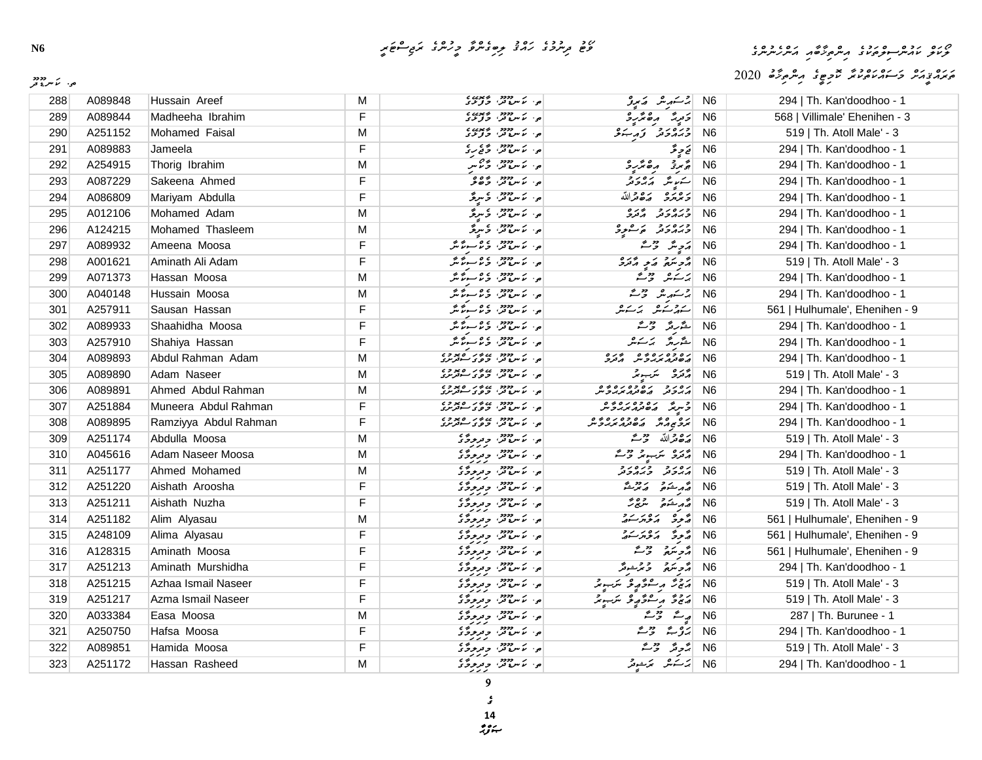*ޯކަލް ކައުންސިލްތަކުގެ އިންތިޚާބާއި އަންހެނުންގެ ވޯ ލ ތަރައްޤީއަށް މަސައްކަތްކުރާ ކޮމިޓީގެ އިންތިޚާބު 2020*

| م. کمبر دودو<br>م. کمبر <u>و</u> فر |         |                       |   |                                                                    |                                                                                                    |                | خيرتر ونستر متوسفة في الموضي المستر مرتبر 2020.<br>مرضى |
|-------------------------------------|---------|-----------------------|---|--------------------------------------------------------------------|----------------------------------------------------------------------------------------------------|----------------|---------------------------------------------------------|
| 288                                 | A089848 | Hussain Areef         | M | ه کسرود پیون و<br>ه کسرون و ژبر                                    | N6   پر <i>ستهر شهر تي پرو</i>                                                                     |                | 294   Th. Kan'doodhoo - 1                               |
| 289                                 | A089844 | Madheeha Ibrahim      | F | ه کردود ورد در<br>ه کامن فران                                      | N6 دَمِيدٌ مِنْ حَمَّدِةِ                                                                          |                | 568   Villimale' Ehenihen - 3                           |
| 290                                 | A251152 | Mohamed Faisal        | м | ە سىرەدە ئەيدە 2<br>مەسىرى <i>بارى</i>                             | N6   ج <i>رَ جو جو جو جو جو</i>                                                                    |                | 519   Th. Atoll Male' - 3                               |
| 291                                 | A089883 | Jameela               | F |                                                                    | كغ و محر                                                                                           | N6             | 294   Th. Kan'doodhoo - 1                               |
| 292                                 | A254915 | Thorig Ibrahim        | M | ە ، ئەستۇر، ئەممىر                                                 | $5 - 20 - 3 - 2$                                                                                   | N <sub>6</sub> | 294   Th. Kan'doodhoo - 1                               |
| 293                                 | A087229 | Sakeena Ahmed         | F | ه ۱۰ کردود ۵۵۶<br>۱۰ کامل ترت                                      | سەر شەھر ئەرە                                                                                      | N6             | 294   Th. Kan'doodhoo - 1                               |
| 294                                 | A086809 | Mariyam Abdulla       | F | ە ، ئاس دەھ ، خ سرچ                                                | ترەرە ئەھىراللە                                                                                    | N6             | 294   Th. Kan'doodhoo - 1                               |
| 295                                 | A012106 | Mohamed Adam          | M | ە ، ئاس دەھ ، خ سرچ                                                | כנסנכ בנס                                                                                          | N6             | 294   Th. Kan'doodhoo - 1                               |
| 296                                 | A124215 | Mohamed Thasleem      | M | ە ، ئاساق ئۇسرگە                                                   | ورەرد كەشۈۋ                                                                                        | N6             | 294   Th. Kan'doodhoo - 1                               |
| 297                                 | A089932 | Ameena Moosa          | F | ە ، ئەس دەر، ئە ئاسلانىگە                                          | N6   مَرَمِتْر تَرْسَّمَ                                                                           |                | 294   Th. Kan'doodhoo - 1                               |
| 298                                 | A001621 | Aminath Ali Adam      | F | ى ئەسەتتى ۋىۋىسەتتىگە                                              | N6   مَّ <i>جِ سَمَّةَ أَمَّ</i> حِ مَ <i>حْمَدَة</i>                                              |                | 519   Th. Atoll Male' - 3                               |
| 299                                 | A071373 | Hassan Moosa          | м | ە ، ئەس بۇر، جەم سەئەتىر                                           | $23$ $222$ $N6$                                                                                    |                | 294   Th. Kan'doodhoo - 1                               |
| 300                                 | A040148 | Hussain Moosa         | M | ە ، ئاس دەھ ، جەھ سىرتىگە                                          | الرئىسكى ئەسىگە ئەسىگە                                                                             | N6             | 294   Th. Kan'doodhoo - 1                               |
| 301                                 | A257911 | Sausan Hassan         | F | ى ئەسەتتى ۋىۋىسەتتىگە                                              | سىرچىق برسىش                                                                                       | N6             | 561   Hulhumale', Ehenihen - 9                          |
| 302                                 | A089933 | Shaahidha Moosa       | F | ى ئەس <sup>37</sup> ر ئاسى <i>مەتى</i> گە                          | المشررقر الرحمنة                                                                                   | N6             | 294   Th. Kan'doodhoo - 1                               |
| 303                                 | A257910 | Shahiya Hassan        | F | ى ئەسەتتى ۋىۋىسەتتىگە                                              | المشرير كالكامل                                                                                    | N6             | 294   Th. Kan'doodhoo - 1                               |
| 304                                 | A089893 | Abdul Rahman Adam     | M | ه که دوده این در ۲۵ دره<br>ام که کوه و در سه توس                   | גם כסגס כם הבנס                                                                                    | N6             | 294   Th. Kan'doodhoo - 1                               |
| 305                                 | A089890 | Adam Naseer           | м | ه ۱۰ کار دود ده ۲۵ تا ۲۵ و د ۲<br>او ۱۰ کاس و تور کور د سوتوسری    | أدكرو الكرسوم                                                                                      | N6             | 519   Th. Atoll Male' - 3                               |
| 306                                 | A089891 | Ahmed Abdul Rahman    | M | ه ۱۰ مردود در ۲۵ در ۲۵<br>ه امکس تراکوی سوترس                      | גפני גפינפינים                                                                                     | N6             | 294   Th. Kan'doodhoo - 1                               |
| 307                                 | A251884 | Muneera Abdul Rahman  | F | ه ۱۰ کار دود ده ده ده بروه<br>ه امکس ترا و وی سوترس                | وسرم مەمەمدەم                                                                                      | N6             | 294   Th. Kan'doodhoo - 1                               |
| 308                                 | A089895 | Ramziyya Abdul Rahman | F | ه ۱۰ کار دود ده ده ده بروه و د<br>اما ۱۰ کارونو کار در استانور مرد | N6 <i><i>בפיציפי בסינפיפית</i></i>                                                                 |                | 294   Th. Kan'doodhoo - 1                               |
| 309                                 | A251174 | Abdulla Moosa         | M | ه ۱۰ کامرودو و تروڅ ک                                              | مَەھْرَاللَّهُ حَرْثَتُهُ                                                                          | N6             | 519   Th. Atoll Male' - 3                               |
| 310                                 | A045616 | Adam Naseer Moosa     | M | ه ۷۰۰ دود.<br>۲۰۰۶ سره تر، د تروژی                                 | أأرومي الكرسوم والمحمد                                                                             | N6             | 294   Th. Kan'doodhoo - 1                               |
| 311                                 | A251177 | Ahmed Mohamed         | м | ه کسی <sup>ووو</sup> و تروژی                                       | גפגב כגם בב<br>הגבע כגהכע                                                                          | N6             | 519   Th. Atoll Male' - 3                               |
| 312                                 | A251220 | Aishath Aroosha       | F | ه ۱۰ کمبرودو و تروڅ که                                             | N6 مُصنَّعْ مَ <sup>مِ</sup> رْتُ                                                                  |                | 519   Th. Atoll Male' - 3                               |
| 313                                 | A251211 | Aishath Nuzha         | F | ه ۱۰ کوروژه د وروژه                                                | N6 أَهُمْ مِسْتَمْ مِنْ مَرْجَمْةِ مِسْتَمْتَ مِسْتَمَرْ مِسْتَمَرْ مِسْتَمَرْ مِسْتَمَرْ مِسْتَمْ |                | 519   Th. Atoll Male' - 3                               |
| 314                                 | A251182 | Alim Alyasau          | M | ه ۱۰ کورود و در دره د                                              | N6 <i>مُحورَ مَوْمَرْسَمَ</i>                                                                      |                | 561   Hulhumale', Ehenihen - 9                          |
| 315                                 | A248109 | Alima Alyasau         | F | ه کاس دود. و مروری                                                 | N6 <i>مُحرَّدٌ مَوْمَرْسَمُ</i>                                                                    |                | 561   Hulhumale', Ehenihen - 9                          |
| 316                                 | A128315 | Aminath Moosa         | F | ه ۷ موسیقی و توروژه                                                | N6 أُمُرْسَعْهُ حَرْسَةُ                                                                           |                | 561   Hulhumale', Ehenihen - 9                          |
| 317                                 | A251213 | Aminath Murshidha     | F | ه کاس دود.<br>ه کاس دود جمهوری                                     | أأروبكم والمرتفعان                                                                                 | N6             | 294   Th. Kan'doodhoo - 1                               |
| 318                                 | A251215 | Azhaa Ismail Naseer   | F | ه که دوده و مرودگا                                                 | أرَجْرٌ أَرْسُوَّ إِلَيْ الْأَرْسِيمُ                                                              | N6             | 519   Th. Atoll Male' - 3                               |
| 319                                 | A251217 | Azma Ismail Naseer    | F | ه کاس دود. و مرود کا                                               | N6 كەيج ئەسەئەر ئىر ئىرىنىدىن                                                                      |                | 519   Th. Atoll Male' - 3                               |
| 320                                 | A033384 | Easa Moosa            | M | ه که دوده و مرودگا                                                 | $23 - 24$                                                                                          | N6             | 287   Th. Burunee - 1                                   |
| 321                                 | A250750 | Hafsa Moosa           | F | ه کاسخ تر دوروی                                                    | $23$ $292$ $N6$                                                                                    |                | 294   Th. Kan'doodhoo - 1                               |
| 322                                 | A089851 | Hamida Moosa          | F | ه که دوده و تروژی                                                  | N6 گەونگ تۇسگە                                                                                     |                | 519   Th. Atoll Male' - 3                               |
| 323                                 | A251172 | Hassan Rasheed        | M | ه که دوده و درود ک                                                 | N6   پزشکر مخرجہ تر                                                                                |                | 294   Th. Kan'doodhoo - 1                               |

*9* 

*ގެ*

**14**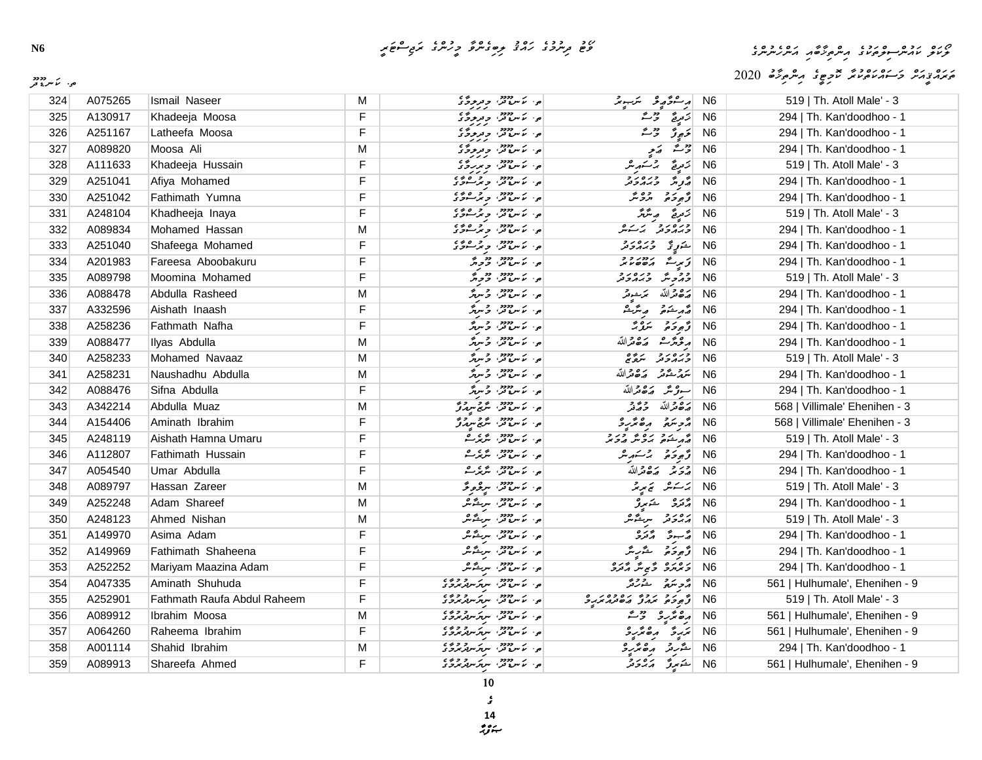*ޯކަލް ކައުންސިލްތަކުގެ އިންތިޚާބާއި އަންހެނުންގެ ވޯ ލ ތަރައްޤީއަށް މަސައްކަތްކުރާ ކޮމިޓީގެ އިންތިޚާބު 2020*

| می کردود<br>می کردید فر |         |                             |             |                                                                       |                                                       |                | خيرته ومتر المستهزئة للمواقع المترمونة الملاكلا |
|-------------------------|---------|-----------------------------|-------------|-----------------------------------------------------------------------|-------------------------------------------------------|----------------|-------------------------------------------------|
| 324                     | A075265 | <b>Ismail Naseer</b>        | M           | ه ۱۰ کمبر دودو.<br>د کاس ترا در ترڅ                                   | وستوكي كرسي                                           | N <sub>6</sub> | 519   Th. Atoll Male' - 3                       |
| 325                     | A130917 | Khadeeja Moosa              | F           | ه ۱۰ کمبر ۱۶۶۵<br>بی کاس فرا و توروژی                                 | أرَمْرِيحٌ وَرَسَمٌ                                   | N <sub>6</sub> | 294   Th. Kan'doodhoo - 1                       |
| 326                     | A251167 | Latheefa Moosa              | F           | ه کاسختر، وتروژی                                                      | خور ژنے                                               | N <sub>6</sub> | 294   Th. Kan'doodhoo - 1                       |
| 327                     | A089820 | Moosa Ali                   | М           | ه کاسختر، وتروژی                                                      | لرحمش ارتماجر                                         | N <sub>6</sub> | 294   Th. Kan'doodhoo - 1                       |
| 328                     | A111633 | Khadeeja Hussain            | F           | ه کاس دود و برگ                                                       | تزەرقى كەسكەرلىر                                      | N <sub>6</sub> | 519   Th. Atoll Male' - 3                       |
| 329                     | A251041 | Afiya Mohamed               | F           | ه کامودو و و و و و                                                    | وتور ورودو                                            | N6             | 294   Th. Kan'doodhoo - 1                       |
| 330                     | A251042 | Fathimath Yumna             | F           | ه کاموده و ۶۵ ور                                                      | ژوځو ده پر                                            | N6             | 294   Th. Kan'doodhoo - 1                       |
| 331                     | A248104 | Khadheeja Inaya             | F           | ه که دود و ۶۵ ورو                                                     | أَرْسِيعٌ - مِنْتُرٌ                                  | N6             | 519   Th. Atoll Male' - 3                       |
| 332                     | A089834 | Mohamed Hassan              | М           | ه کامودو و و و و و                                                    | ورەرو پەسكىر                                          | N6             | 294   Th. Kan'doodhoo - 1                       |
| 333                     | A251040 | Shafeega Mohamed            | F           | ه کامن دود و ده وه                                                    | أن ويرە دىر ئا                                        | N6             | 294   Th. Kan'doodhoo - 1                       |
| 334                     | A201983 | Fareesa Aboobakuru          | F           | ه ۱۰ مترس دور به در این است.<br>در اما مترس در این است                | 52727                                                 | N6             | 294   Th. Kan'doodhoo - 1                       |
| 335                     | A089798 | Moomina Mohamed             | F           | ه ، مأسود لار دو بر                                                   | وور ورەرو                                             | N6             | 519   Th. Atoll Male' - 3                       |
| 336                     | A088478 | Abdulla Rasheed             | M           | ە ئەس <sup>322</sup> ر، ئ <sup>ە</sup> س ك                            | 20 قرالله <del>ت</del> رشو <i>نز</i>                  | N6             | 294   Th. Kan'doodhoo - 1                       |
| 337                     | A332596 | Aishath Inaash              | F           | ى ئاس دەر ئىس گ                                                       | مەر شىم مەسىر شىشى                                    | N6             | 294   Th. Kan'doodhoo - 1                       |
| 338                     | A258236 | Fathmath Nafha              | F           | ه کاس <sup>322</sup> ر، وسرگر                                         | أو و ده ده و                                          | N6             | 294   Th. Kan'doodhoo - 1                       |
| 339                     | A088477 | Ilyas Abdulla               | M           | ه ۱۰ کوروز و سرگر                                                     | مرمرمر مەھىراللە                                      | N6             | 294   Th. Kan'doodhoo - 1                       |
| 340                     | A258233 | Mohamed Navaaz              | M           | ە ئەسىرەت ئەس <i>ەر</i>                                               | ورەر دەر                                              | N6             | 519   Th. Atoll Male' - 3                       |
| 341                     | A258231 | Naushadhu Abdulla           | M           | ە ·   ئاس <sup>222</sup> ،   ق. سرگر                                  | تركم شوتر كالكاهر الله                                | N <sub>6</sub> | 294   Th. Kan'doodhoo - 1                       |
| 342                     | A088476 | Sifna Abdulla               | $\mathsf F$ | ه <i>، مأسود قرار د مبردگر</i>                                        | - <i>-وَ مَّتَرَ مَ</i> صَّقَرَاللَّهُ                | N6             | 294   Th. Kan'doodhoo - 1                       |
| 343                     | A342214 | Abdulla Muaz                | M           | ە ئەس دەم ئىرىمىز ئى                                                  | رەقراللە دەنر                                         | N <sub>6</sub> | 568   Villimale' Ehenihen - 3                   |
| 344                     | A154406 | Aminath Ibrahim             | $\mathsf F$ | ه کامل دود.<br>مسالم استفاد استان برای بر                             | أروسه وكالرو                                          | N6             | 568   Villimale' Ehenihen - 3                   |
| 345                     | A248119 | Aishath Hamna Umaru         | F           | <sub>ئ</sub> . ئەس <sup>32</sup> ز، ئىگەرگ                            | كەر شەكى ئەر ئەر ئەر ئەر                              | N6             | 519   Th. Atoll Male' - 3                       |
| 346                     | A112807 | Fathimath Hussain           | F           | ە ئەس دەم ئىرىمى ئ                                                    | ۇۋۇمۇ بەسكەنل                                         | N6             | 294   Th. Kan'doodhoo - 1                       |
| 347                     | A054540 | Umar Abdulla                | F           | ە ، ئەس دەم ئەرگەر                                                    | ورو رەقراللە                                          | N6             | 294   Th. Kan'doodhoo - 1                       |
| 348                     | A089797 | Hassan Zareer               | M           | ە ، ئاسا تۇ، سىۋە ئ                                                   | يرسكس كالمرير                                         | N <sub>6</sub> | 519   Th. Atoll Male' - 3                       |
| 349                     | A252248 | Adam Shareef                | М           | ە ، ئاس دەرە سرىشىر                                                   | د دره خومرو                                           | N <sub>6</sub> | 294   Th. Kan'doodhoo - 1                       |
| 350                     | A248123 | Ahmed Nishan                | M           | ى كەس دەم بىرىشەش<br>مەس كەس بىر                                      | بر 2 د تر<br>م <i>ر</i> بر <del>د</del> تر<br>سرىشەشر | N <sub>6</sub> | 519   Th. Atoll Male' - 3                       |
| 351                     | A149970 | Asima Adam                  | F           | ائ <i>و ، پر سرچين</i> سرڪرش                                          | ە ئەسىرى ئەرەر                                        | N <sub>6</sub> | 294   Th. Kan'doodhoo - 1                       |
| 352                     | A149969 | Fathimath Shaheena          | F           | ە ئەس دەرە<br>مەن ئىس ئۇنى سىن ئىس                                    | قَ و د د شمېرىتگ                                      | N <sub>6</sub> | 294   Th. Kan'doodhoo - 1                       |
| 353                     | A252252 | Mariyam Maazina Adam        | F           | ص كوسود 2022 سرىشۇنىگر                                                | ב זרוכ ב"ז יל הבנב                                    | N6             | 294   Th. Kan'doodhoo - 1                       |
| 354                     | A047335 | Aminath Shuhuda             | F           | ه ۱۰ کورود در در دره در در در د                                       | أأروبتهم المشارقر                                     | N <sub>6</sub> | 561   Hulhumale', Ehenihen - 9                  |
| 355                     | A252901 | Fathmath Raufa Abdul Raheem | F           | ه ۱۰ کامل دودو.<br>د کامل کرای میلامل مرکز در                         | و د د د ده ده ده ده د ه<br>ژوده مرمز مصرم مرد         | N6             | 519   Th. Atoll Male' - 3                       |
| 356                     | A089912 | Ibrahim Moosa               | M           | ם מיטצים ומציע בכל                                                    | رە ئرىر ئەست                                          | N6             | 561   Hulhumale', Ehenihen - 9                  |
| 357                     | A064260 | Raheema Ibrahim             | F           | ه ۱۵۶۶ ورود در در دره وراستاند.<br>اما ۱۵ سرع تن اسرار سربور وراستاند | برَبِرِدٌ وَهُ بَرْدِدٌ                               | N6             | 561   Hulhumale', Ehenihen - 9                  |
| 358                     | A001114 | Shahid Ibrahim              | M           | ם ישיעיני ייחלייני ובר                                                | شرىر مەغرىر                                           | N6             | 294   Th. Kan'doodhoo - 1                       |
| 359                     | A089913 | Shareefa Ahmed              | F           | ם עיתרה יותיתהבב                                                      | شەمرۇ   كەرد قر                                       | N6             | 561   Hulhumale', Ehenihen - 9                  |

*10 ގެ*

**14**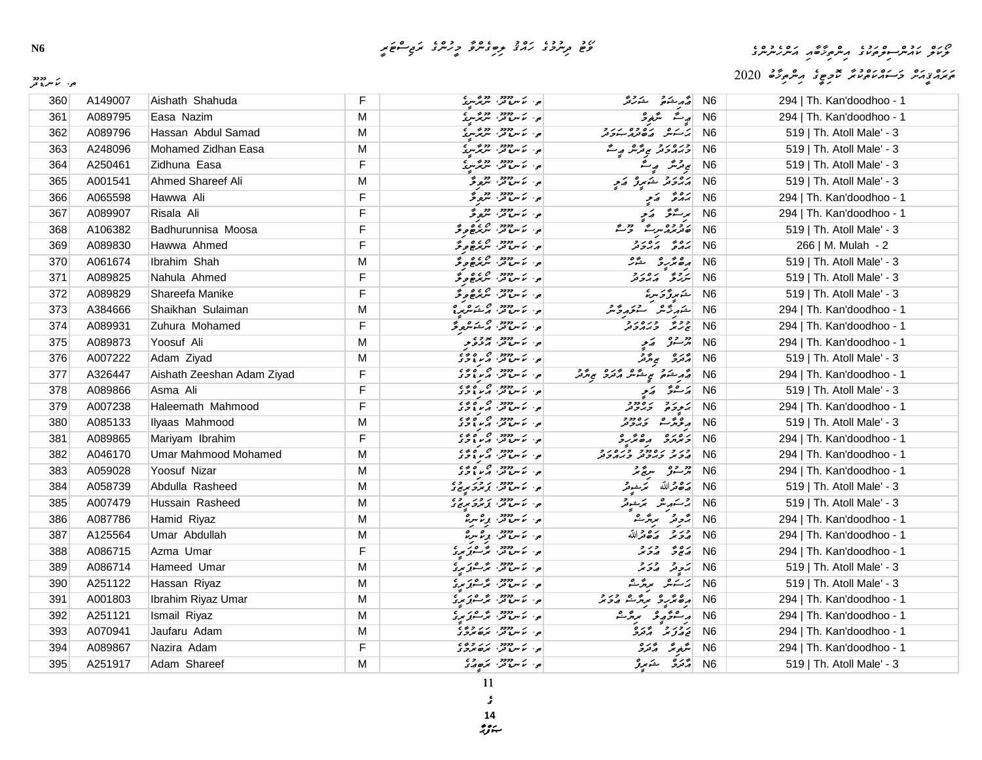*ޯކަލް ކައުންސިލްތަކުގެ އިންތިޚާބާއި އަންހެނުންގެ ވޯ ލ*

*ތަރައްޤީއަށް މަސައްކަތްކުރާ ކޮމިޓީގެ އިންތިޚާބު 2020*

| 360 | A149007 | Aishath Shahuda            | F | ە ئەس 222 ھەر بىرى<br>مەن ئەس ئەس                                                                                                                                                                                                | أور المستوفر المستور فكر                                      | N6             | 294   Th. Kan'doodhoo - 1 |
|-----|---------|----------------------------|---|----------------------------------------------------------------------------------------------------------------------------------------------------------------------------------------------------------------------------------|---------------------------------------------------------------|----------------|---------------------------|
| 361 | A089795 | Easa Nazim                 | м | ه ۱۰ مترس دورو .<br>د ۱۰ مترس متر متر مترس                                                                                                                                                                                       | ەي ئىش ئىنى ئى                                                | N6             | 294   Th. Kan'doodhoo - 1 |
| 362 | A089796 | Hassan Abdul Samad         | м | ه که ۱۶۶۶ وروسی<br>د کاملانس مرکز بر                                                                                                                                                                                             | ر ره ده ده درو<br>پرسکس مگاه ده                               | N6             | 519   Th. Atoll Male' - 3 |
| 363 | A248096 | Mohamed Zidhan Easa        | м | د که ۲۶۶۵ وروپه<br>د کامل فرانس مرکز مرکز                                                                                                                                                                                        | درەرد پەئزىر مەڭ                                              | N6             | 519   Th. Atoll Male' - 3 |
| 364 | A250461 | Zidhuna Easa               | F | ם מיט דרכן ורוביים.<br>סיי מיט בלי ייתים ועל                                                                                                                                                                                     | ىجەتىر مەڭ                                                    | N <sub>6</sub> | 519   Th. Atoll Male' - 3 |
| 365 | A001541 | <b>Ahmed Shareef Ali</b>   | M | ە بەسىدىق شەھ                                                                                                                                                                                                                    | أرود و الأمرو أركب                                            | N <sub>6</sub> | 519   Th. Atoll Male' - 3 |
| 366 | A065598 | Hawwa Ali                  | F | ە بەسىدىق شەھ                                                                                                                                                                                                                    | بروثة الأمز                                                   | N <sub>6</sub> | 294   Th. Kan'doodhoo - 1 |
| 367 | A089907 | Risala Ali                 | E | ە بە ئاسقاتقى، ئىترەر ئىچ                                                                                                                                                                                                        | برڪڙ آھيج                                                     | N <sub>6</sub> | 294   Th. Kan'doodhoo - 1 |
| 368 | A106382 | Badhurunnisa Moosa         | F | ى ئاس دەھ ئىرگە ئ                                                                                                                                                                                                                | ە قەرىر ئەس ئەس ئۇسى                                          | N6             | 519   Th. Atoll Male' - 3 |
| 369 | A089830 | Hawwa Ahmed                | F | ى ئاس دەھ ئىرگە ئاھ                                                                                                                                                                                                              | برە بەرەر د                                                   | N <sub>6</sub> | 266   M. Mulah - 2        |
| 370 | A061674 | Ibrahim Shah               | M | ە ، ئاس دەم ئىرگە ئوغ                                                                                                                                                                                                            | رە ئرىر ئى                                                    | N <sub>6</sub> | 519   Th. Atoll Male' - 3 |
| 371 | A089825 | Nahula Ahmed               | E | ى ئاستۇن ئىرگە ئ                                                                                                                                                                                                                 | يروفى أروره                                                   | N <sub>6</sub> | 519   Th. Atoll Male' - 3 |
| 372 | A089829 | Shareefa Manike            | F | ى ئاس دەر ئەرەپ كۆ                                                                                                                                                                                                               | ىشە ئىر تۈڭرىكى بىرى <i>نا</i>                                | N <sub>6</sub> | 519   Th. Atoll Male' - 3 |
| 373 | A384666 | Shaikhan Sulaiman          | M | ە ، ئاسقۇق مېشكىرىدە                                                                                                                                                                                                             | شەر ئىش سىزمەر ئىر                                            | N <sub>6</sub> | 294   Th. Kan'doodhoo - 1 |
| 374 | A089931 | Zuhura Mohamed             | E | ى ئەستۇق كەشكەھ ئە                                                                                                                                                                                                               | ووي ورەرو<br>بح <sup>ر</sup> پر <i>م</i> دەرىر                | N <sub>6</sub> | 294   Th. Kan'doodhoo - 1 |
| 375 | A089873 | Yoosuf Ali                 | M | ه کسی دوه بود و در د                                                                                                                                                                                                             | دو وه که پر                                                   | N <sub>6</sub> | 294   Th. Kan'doodhoo - 1 |
| 376 | A007222 | Adam Ziyad                 | м | ه ، پاسخ در مره وي                                                                                                                                                                                                               | وره ج <sup>و</sup> د<br>م <sup>و</sup> فرق بح <sup>و</sup> فر | N6.            | 519   Th. Atoll Male' - 3 |
| 377 | A326447 | Aishath Zeeshan Adam Ziyad | F | ם יי אייער בין היה בין היה בין היה בין היה בין היה בין היה בין היה בין היה בין היה בין היה בין היה בין היה בין<br>היה היה בין היה בין היה בין היה בין היה בין היה בין היה בין היה בין היה בין היה בין היה בין היה בין היה בין הי | م المستوفي المستوفين المستوفين المستقر                        | N6             | 294   Th. Kan'doodhoo - 1 |
| 378 | A089866 | Asma Ali                   | F | ە ، ئەستىق كەرەپى                                                                                                                                                                                                                | پرسٹی پہ پر                                                   | N <sub>6</sub> | 519   Th. Atoll Male' - 3 |
| 379 | A007238 | Haleemath Mahmood          | F | ە ئەستىق مەم                                                                                                                                                                                                                     | كركرة كالمحافظ                                                | N <sub>6</sub> | 294   Th. Kan'doodhoo - 1 |
| 380 | A085133 | Ilyaas Mahmood             | M | ه ، پاسخ در مرکز ده ده                                                                                                                                                                                                           | ړ وگړے ده دور                                                 | N <sub>6</sub> | 519   Th. Atoll Male' - 3 |
| 381 | A089865 | Mariyam Ibrahim            | F | ه کامندی کارود                                                                                                                                                                                                                   | גפנפ גם בניב                                                  | N6             | 294   Th. Kan'doodhoo - 1 |
| 382 | A046170 | Umar Mahmood Mohamed       | M | ه ، ئاس دود من کار دی                                                                                                                                                                                                            | 2 ני 2 ניסמר 2 בנים ניב<br>גביני בגבות בגבות                  | N <sub>6</sub> | 294   Th. Kan'doodhoo - 1 |
| 383 | A059028 | Yoosuf Nizar               | м | ه کامنده می ده د                                                                                                                                                                                                                 | در وه<br>ارتسونو سرچ تر                                       | N6             | 294   Th. Kan'doodhoo - 1 |
| 384 | A058739 | Abdulla Rasheed            | M | ه ۱۵۲۰ ورود در در<br>۱۶۴۰ میلی کلی بازنده نیری                                                                                                                                                                                   | ە ھەقراللە كەشىھ                                              | N <sub>6</sub> | 519   Th. Atoll Male' - 3 |
| 385 | A007479 | Hussain Rasheed            | M | ه ۱۵۲۰ ورود در در ور<br>۱۵۰ ماس کارا کاربرد برج د                                                                                                                                                                                | 2سكەر مىگە كەرگە                                              | N6             | 519   Th. Atoll Male' - 3 |
| 386 | A087786 | Hamid Riyaz                | M | ە ، ئاسلاتى، بولاسرىد                                                                                                                                                                                                            | گەدىر بەرگەش                                                  | N <sub>6</sub> | 294   Th. Kan'doodhoo - 1 |
| 387 | A125564 | Umar Abdullah              | M | ە ، ئەستەتر، بولاسرى                                                                                                                                                                                                             | وري رەمزاللە                                                  | N <sub>6</sub> | 294   Th. Kan'doodhoo - 1 |
| 388 | A086715 | Azma Umar                  | F | ە ، ئەسەدە ، ئەڭ بۇيدى                                                                                                                                                                                                           | 212 201                                                       | N <sub>6</sub> | 294   Th. Kan'doodhoo - 1 |
| 389 | A086714 | Hameed Umar                | м | ە ، ئەسەبىر، ئەسەبۇبىرى                                                                                                                                                                                                          | يزوقر المركز والمحر                                           | N6             | 519   Th. Atoll Male' - 3 |
| 390 | A251122 | Hassan Riyaz               | M | ە ، ئۈستۈن ئۇستۇنىرى                                                                                                                                                                                                             | پرسکسٹر میرمرکٹ                                               | N6             | 519   Th. Atoll Male' - 3 |
| 391 | A001803 | Ibrahim Riyaz Umar         | M | ە . ئەسەدە ئەسىر ئەر                                                                                                                                                                                                             | أرە ئۆر ئەر ئەر ئەر ئە                                        | N6             | 294   Th. Kan'doodhoo - 1 |
| 392 | A251121 | Ismail Riyaz               | M | ە ، ئەسەدە ، ئەڭ بۇيدى                                                                                                                                                                                                           | أما سنتو مقر مرتز شر                                          | N6             | 294   Th. Kan'doodhoo - 1 |
| 393 | A070941 | Jaufaru Adam               | M | ם יעישים וכרי הריטי<br>כי עיישים איי                                                                                                                                                                                             | ر در دره<br><i>فه</i> ونر گ <sup>و</sup> ره                   | N <sub>6</sub> | 294   Th. Kan'doodhoo - 1 |
| 394 | A089867 | Nazira Adam                | F | ם יי מייעש בין היה ביטי בין היה בין היה בין היה בין היה בין היה בין היה בין היה בין היה בין היה בין היה בין הי<br>היה מודע מייעש בין היה בין היה בין היה בין היה בין היה בין היה בין היה בין היה בין היה בין היה בין היה בין היה |                                                               | N <sub>6</sub> | 294   Th. Kan'doodhoo - 1 |
| 395 | A251917 | Adam Shareef               | M | ם יי אייער ביו המסובי                                                                                                                                                                                                            | ە ئەترو سىسىرۇ                                                | N <sub>6</sub> | 519   Th. Atoll Male' - 3 |

*11* 

*ގެ* **14** 

*ޞަފްޙާ*

می. ک*ر سر* ۶۵<br>می. کر سر ۶ قر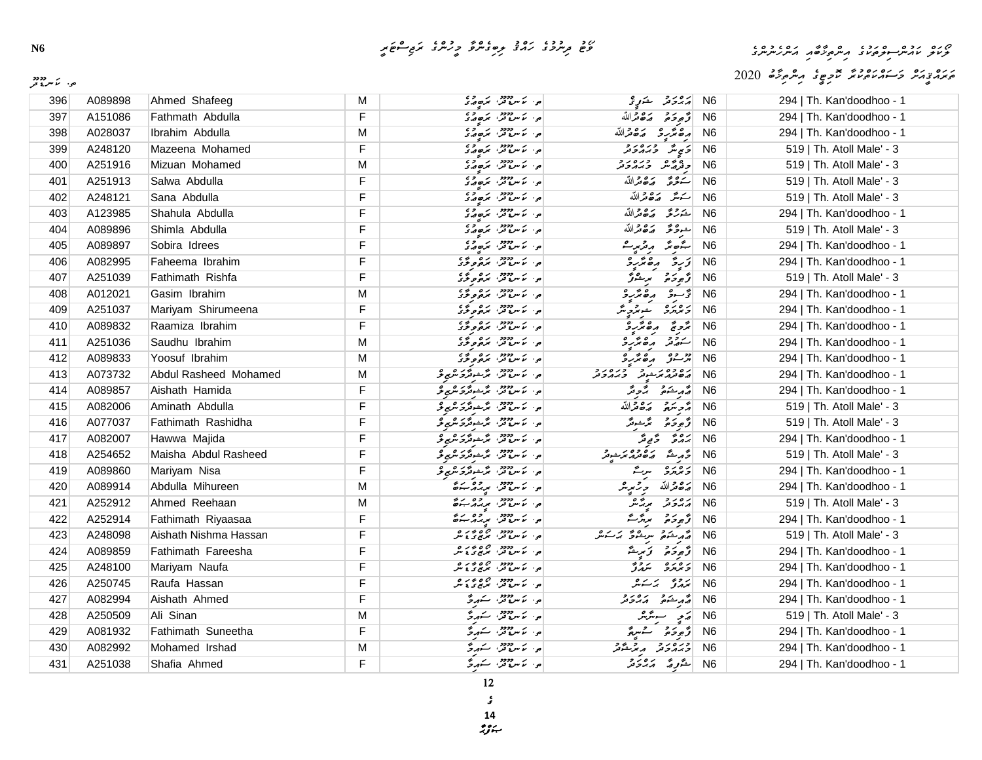*ޯކަލް ކައުންސިލްތަކުގެ އިންތިޚާބާއި އަންހެނުންގެ ވޯ ލ ތަރައްޤީއަށް މަސައްކަތްކުރާ ކޮމިޓީގެ އިންތިޚާބު 2020*

| می کردود<br>می کامر دو فر |         |                       |              |                                                                                                                                                                                                                                                                                                                     |                                       |                | خيرتر يزمر المستر متوافد المتوج والمترام في 2020. |
|---------------------------|---------|-----------------------|--------------|---------------------------------------------------------------------------------------------------------------------------------------------------------------------------------------------------------------------------------------------------------------------------------------------------------------------|---------------------------------------|----------------|---------------------------------------------------|
| 396                       | A089898 | Ahmed Shafeeg         | м            | $\frac{1}{2}$                                                                                                                                                                                                                                                                                                       | دەر د شەرق                            | N6             | 294   Th. Kan'doodhoo - 1                         |
| 397                       | A151086 | Fathmath Abdulla      | F            | $\frac{1}{2}$ $\frac{1}{2}$ $\frac{1}{2}$ $\frac{1}{2}$ $\frac{1}{2}$ $\frac{1}{2}$ $\frac{1}{2}$ $\frac{1}{2}$ $\frac{1}{2}$ $\frac{1}{2}$ $\frac{1}{2}$ $\frac{1}{2}$ $\frac{1}{2}$ $\frac{1}{2}$ $\frac{1}{2}$ $\frac{1}{2}$ $\frac{1}{2}$ $\frac{1}{2}$ $\frac{1}{2}$ $\frac{1}{2}$ $\frac{1}{2}$ $\frac{1}{2}$ | وحجوجة وكاله الله                     | N6             | 294   Th. Kan'doodhoo - 1                         |
| 398                       | A028037 | Ibrahim Abdulla       | М            | $\frac{1}{2}$                                                                                                                                                                                                                                                                                                       | N6 مەمگرى <sub>د</sub> ى مەھقراللە    |                | 294   Th. Kan'doodhoo - 1                         |
| 399                       | A248120 | Mazeena Mohamed       | F            | $5.900 \times 10^{23}$                                                                                                                                                                                                                                                                                              | N6   حَبِي مَدَّ حَبَدَ حَدَّدَ حَد   |                | 519   Th. Atoll Male' - 3                         |
| 400                       | A251916 | Mizuan Mohamed        | M            | $\frac{1}{2}$ $\frac{1}{2}$ $\frac{1}{2}$ $\frac{1}{2}$ $\frac{1}{2}$ $\frac{1}{2}$ $\frac{1}{2}$ $\frac{1}{2}$ $\frac{1}{2}$ $\frac{1}{2}$ $\frac{1}{2}$ $\frac{1}{2}$ $\frac{1}{2}$ $\frac{1}{2}$ $\frac{1}{2}$ $\frac{1}{2}$ $\frac{1}{2}$ $\frac{1}{2}$ $\frac{1}{2}$ $\frac{1}{2}$ $\frac{1}{2}$ $\frac{1}{2}$ | وفرەش ۋىرەرد                          | N6             | 519   Th. Atoll Male' - 3                         |
| 401                       | A251913 | Salwa Abdulla         | F            | $\frac{1}{2}$ $\frac{1}{2}$ $\frac{1}{2}$ $\frac{1}{2}$ $\frac{1}{2}$ $\frac{1}{2}$ $\frac{1}{2}$ $\frac{1}{2}$ $\frac{1}{2}$ $\frac{1}{2}$ $\frac{1}{2}$ $\frac{1}{2}$ $\frac{1}{2}$ $\frac{1}{2}$ $\frac{1}{2}$ $\frac{1}{2}$ $\frac{1}{2}$ $\frac{1}{2}$ $\frac{1}{2}$ $\frac{1}{2}$ $\frac{1}{2}$ $\frac{1}{2}$ | يَدْوَّعُ صَرْهِ قَرْاللَّهُ          | N6             | 519   Th. Atoll Male' - 3                         |
| 402                       | A248121 | Sana Abdulla          | F            | $5.900 \times 10^{23}$                                                                                                                                                                                                                                                                                              | سَمَتَر بَرَهُ قَرْاللَّهُ            | N6             | 519   Th. Atoll Male' - 3                         |
| 403                       | A123985 | Shahula Abdulla       | F            | $\frac{1}{2}$ $\frac{1}{2}$ $\frac{1}{2}$ $\frac{1}{2}$ $\frac{1}{2}$ $\frac{1}{2}$ $\frac{1}{2}$ $\frac{1}{2}$ $\frac{1}{2}$ $\frac{1}{2}$ $\frac{1}{2}$ $\frac{1}{2}$ $\frac{1}{2}$ $\frac{1}{2}$ $\frac{1}{2}$ $\frac{1}{2}$ $\frac{1}{2}$ $\frac{1}{2}$ $\frac{1}{2}$ $\frac{1}{2}$ $\frac{1}{2}$ $\frac{1}{2}$ | خركر مركاة الله                       | N6             | 294   Th. Kan'doodhoo - 1                         |
| 404                       | A089896 | Shimla Abdulla        | F            | $\frac{1}{2}$ $\frac{1}{2}$ $\frac{1}{2}$ $\frac{1}{2}$ $\frac{1}{2}$ $\frac{1}{2}$ $\frac{1}{2}$ $\frac{1}{2}$ $\frac{1}{2}$ $\frac{1}{2}$ $\frac{1}{2}$ $\frac{1}{2}$ $\frac{1}{2}$ $\frac{1}{2}$ $\frac{1}{2}$ $\frac{1}{2}$ $\frac{1}{2}$ $\frac{1}{2}$ $\frac{1}{2}$ $\frac{1}{2}$ $\frac{1}{2}$ $\frac{1}{2}$ | خور كەھ قىراللە                       | N6             | 519   Th. Atoll Male' - 3                         |
| 405                       | A089897 | Sobira Idrees         | F            | $\frac{1}{2}$                                                                                                                                                                                                                                                                                                       | بثعثم مقربر                           | N6             | 294   Th. Kan'doodhoo - 1                         |
| 406                       | A082995 | Faheema Ibrahim       | $\mathsf F$  | ه ۱۰ کمبر دوره ده کار<br>او کاموانس مردوح ک                                                                                                                                                                                                                                                                         | تزرد مقتررة                           | N6             | 294   Th. Kan'doodhoo - 1                         |
| 407                       | A251039 | Fathimath Rishfa      | F            | ه ۱۰ کمبر دوره ده کار<br>او کاموانس مردوح ک                                                                                                                                                                                                                                                                         | N6   <i>وَّجِ دَمَّى بِرِحْتَوَّ</i>  |                | 519   Th. Atoll Male' - 3                         |
| 408                       | A012021 | Gasim Ibrahim         | M            | ه ۱۰ کمبر دود.<br>۲۰ کمبر سره تر از کرده و څر                                                                                                                                                                                                                                                                       | تخ سرق مەھمىرى                        | N6             | 294   Th. Kan'doodhoo - 1                         |
| 409                       | A251037 | Mariyam Shirumeena    | F            |                                                                                                                                                                                                                                                                                                                     | كرەرە شەركى س                         | N6             | 294   Th. Kan'doodhoo - 1                         |
| 410                       | A089832 | Raamiza Ibrahim       | F            | ه ۱۰ کمبر دود.<br>۲۰ کمبر سرد تر کمبر در کار                                                                                                                                                                                                                                                                        | تردیج مقتربر                          | N6             | 294   Th. Kan'doodhoo - 1                         |
| 411                       | A251036 | Saudhu Ibrahim        | M            | ه ۱۰ کمبر ۱۳۶۲ کره ورو شور<br>او ۱۰ کمبر سره تعریبی ورو شور                                                                                                                                                                                                                                                         | سنهتر مقترره                          | N6             | 294   Th. Kan'doodhoo - 1                         |
| 412                       | A089833 | Yoosuf Ibrahim        | M            | ه ۱۰ کمبرود ده وي.<br>او کمبروتر، برگورگري                                                                                                                                                                                                                                                                          | ת כם הפתיק                            | N6             | 294   Th. Kan'doodhoo - 1                         |
| 413                       | A073732 | Abdul Rasheed Mohamed | M            | ے کا سرچھ گرے وکرے سرچ کو                                                                                                                                                                                                                                                                                           | رە دە رىيوتى ئەرەر د                  | N <sub>6</sub> | 294   Th. Kan'doodhoo - 1                         |
| 414                       | A089857 | Aishath Hamida        | F            | ە ، ئاس دەھ ، ئۇ شەئۇچ شى بى                                                                                                                                                                                                                                                                                        | أمار مسكومي الأحافر                   | N6             | 294   Th. Kan'doodhoo - 1                         |
| 415                       | A082006 | Aminath Abdulla       | F            | ە ، ئاس ""، ئۇ شەئۇچ ئۈچ ئو                                                                                                                                                                                                                                                                                         | N6 مُرْحِسَمَة مَرْكَ مَدَاللّه       |                | 519   Th. Atoll Male' - 3                         |
| 416                       | A077037 | Fathimath Rashidha    | F            | ە ، ئاس دەھ ، ئۇ شەئۇرى ئىرى ئى                                                                                                                                                                                                                                                                                     | وُجِ وَحَمْ تَمْ شُوتَرٌ              | N6             | 519   Th. Atoll Male' - 3                         |
| 417                       | A082007 | Hawwa Majida          | F            | ى ئاس دەھ ئۇي ھەر ھى ئو                                                                                                                                                                                                                                                                                             | رەم ئىق                               | N6             | 294   Th. Kan'doodhoo - 1                         |
| 418                       | A254652 | Maisha Abdul Rasheed  | F            | ە ، ئاس ""، ئۇ شەئۇچ ئۈچ ئو                                                                                                                                                                                                                                                                                         | گەشگە كەھەر كەشلىق                    | N6             | 519   Th. Atoll Male' - 3                         |
| 419                       | A089860 | Mariyam Nisa          | F            | ە ، ئاس دەس ئار ئىشلىرى ئىرىم ئى                                                                                                                                                                                                                                                                                    | كى ئەركى ئىس سى                       | N6             | 294   Th. Kan'doodhoo - 1                         |
| 420                       | A089914 | Abdulla Mihureen      | M            | ه ۱۰ مترس و ده کرد.<br>۲۰ مترس و در استرا                                                                                                                                                                                                                                                                           | رَصْحْرَاللّه ورَّسِرْر               | N6             | 294   Th. Kan'doodhoo - 1                         |
| 421                       | A252912 | Ahmed Reehaan         | M            | $6 - 22$                                                                                                                                                                                                                                                                                                            | أرەر ئەرگە                            | N6             | 519   Th. Atoll Male' - 3                         |
| 422                       | A252914 | Fathimath Riyaasaa    | $\mathsf F$  | ه کاملاتی برنداد شده                                                                                                                                                                                                                                                                                                | وٌ و د و معرش ش                       | N6             | 294   Th. Kan'doodhoo - 1                         |
| 423                       | A248098 | Aishath Nishma Hassan | F            | ە · ئەسرودە مەدەر بەر                                                                                                                                                                                                                                                                                               | أمام الشكرة المراسكين المركب كالمراكض | N6             | 519   Th. Atoll Male' - 3                         |
| 424                       | A089859 | Fathimath Fareesha    | F            | ە ئەسىرە 200 كەرە                                                                                                                                                                                                                                                                                                   | أوهج وكالمرسة                         | N6             | 294   Th. Kan'doodhoo - 1                         |
| 425                       | A248100 | Mariyam Naufa         | F            | ە ئەسىرە 200 كەرگە                                                                                                                                                                                                                                                                                                  | 122 ביתר הי                           | N6             | 294   Th. Kan'doodhoo - 1                         |
| 426                       | A250745 | Raufa Hassan          | F            | ە ئەسرەدە 200 دىرە<br>مەن ئەس ئەس ئىرىنى ئ                                                                                                                                                                                                                                                                          | ىردۇ بەسكىل                           | N6             | 294   Th. Kan'doodhoo - 1                         |
| 427                       | A082994 | Aishath Ahmed         | $\mathsf{F}$ | ە بە ئەس ئۇرگە ئەسىر                                                                                                                                                                                                                                                                                                | حدث تدرد                              | N6             | 294   Th. Kan'doodhoo - 1                         |
| 428                       | A250509 | Ali Sinan             | M            | ە بە ئەس ئۆز سىدە ئە                                                                                                                                                                                                                                                                                                | N6   رَمِ سِعَرْشَ                    |                | 519   Th. Atoll Male' - 3                         |
| 429                       | A081932 | Fathimath Suneetha    | $\mathsf F$  | ە بە ئەس ئۇر. سەر ئ                                                                                                                                                                                                                                                                                                 | توجر ومستسبقي                         | N <sub>6</sub> | 294   Th. Kan'doodhoo - 1                         |
| 430                       | A082992 | Mohamed Irshad        | M            | ە بەسىن تەرە                                                                                                                                                                                                                                                                                                        | ورەرو مەشھ                            | N6             | 294   Th. Kan'doodhoo - 1                         |
| 431                       | A251038 | Shafia Ahmed          | F            | ە بە ئەستۇق سەرگە                                                                                                                                                                                                                                                                                                   | N6   مَشَوَرَّة مَدَّرَوْرَ           |                | 294   Th. Kan'doodhoo - 1                         |

*12* 

*ގެ*

**14**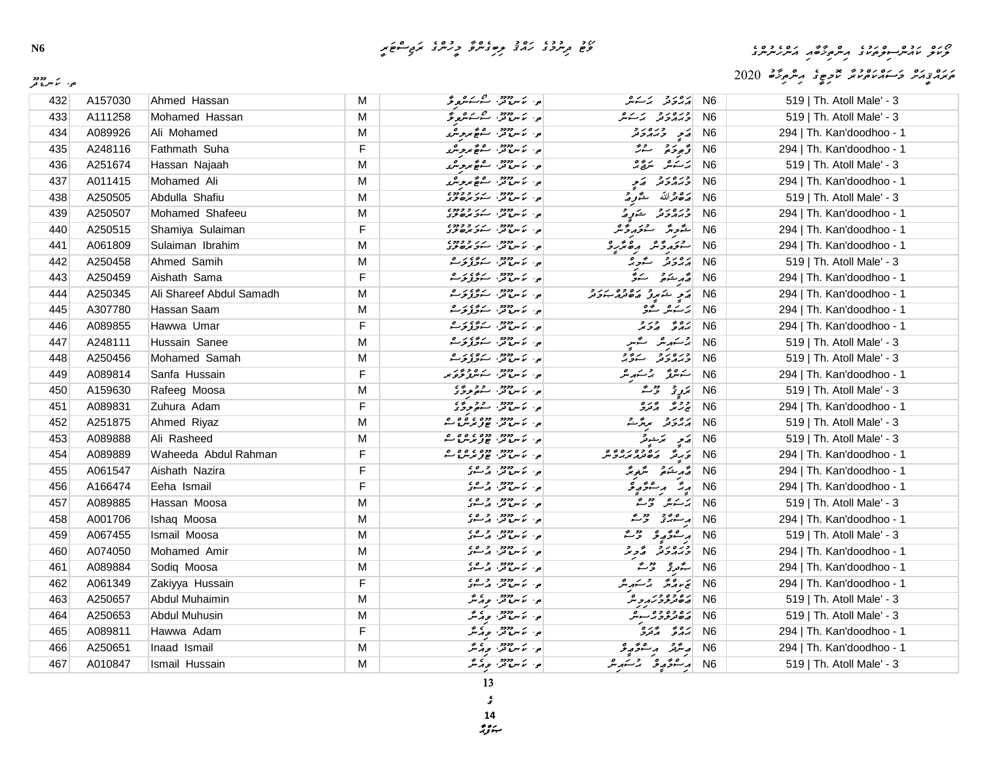*ޯކަލް ކައުންސިލްތަކުގެ އިންތިޚާބާއި އަންހެނުންގެ ވޯ ލ*

*ތަރައްޤީއަށް މަސައްކަތްކުރާ ކޮމިޓީގެ އިންތިޚާބު 2020*

| می کردود<br>می کردرو فر |         |                          |             |                                                                                                                   |                                    |                | خيرته ومتر المستهزئة للمواقع المترمونة الملاكلا |
|-------------------------|---------|--------------------------|-------------|-------------------------------------------------------------------------------------------------------------------|------------------------------------|----------------|-------------------------------------------------|
| 432                     | A157030 | Ahmed Hassan             | М           | ى ئەستۇر، سىگە ئىرە ئە                                                                                            | كالمرواح المركب مكاري              | N6             | 519   Th. Atoll Male' - 3                       |
| 433                     | A111258 | Mohamed Hassan           | M           | ە ، ئەسرەدە بەسەئىرە ئ                                                                                            | ورەرو پەسكىر                       | N6             | 519   Th. Atoll Male' - 3                       |
| 434                     | A089926 | Ali Mohamed              | M           | ە · ئاس <i>««</i> " سۇھ <i>برو</i> شى                                                                             | كرو وبرودو                         | N <sub>6</sub> | 294   Th. Kan'doodhoo - 1                       |
| 435                     | A248116 | Fathmath Suha            | F           | ى ئاس دەر ئاھۇمرىرىگە                                                                                             | تؤجر فرقم المستركز                 | N6             | 294   Th. Kan'doodhoo - 1                       |
| 436                     | A251674 | Hassan Najaah            | M           | ە ئاس <i>دەن سۇغ</i> ىر دىگە                                                                                      | ىز سەش ئىزقى ئا                    | N6             | 519   Th. Atoll Male' - 3                       |
| 437                     | A011415 | Mohamed Ali              | M           | ە ، ئاس دەن سوغ برىرىگە                                                                                           | ورەرو كەير                         | N6             | 294   Th. Kan'doodhoo - 1                       |
| 438                     | A250505 | Abdulla Shafiu           | M           | ם מיט דרכם מיט בריים.<br>ים מיט בריי מיט בריים ביו בריים ביו בריים ביו בריים ביו בריים ביו בריים ביו בריים ביו בר | رَصْحَرَاللّهُ شَرُورَ             | N6             | 519   Th. Atoll Male' - 3                       |
| 439                     | A250507 | Mohamed Shafeeu          | M           | ه کارودو دروده<br>د کارونو سوموه در                                                                               | وره رو در د                        | N6             | 294   Th. Kan'doodhoo - 1                       |
| 440                     | A250515 | Shamiya Sulaiman         | F           | ه که دود دروده.<br>د که کوچی سکوپر دود                                                                            | شۇر شۇرگىر                         | N6             | 294   Th. Kan'doodhoo - 1                       |
| 441                     | A061809 | Sulaiman Ibrahim         | M           | ه کارودو دروده<br>د کارونو سوموه در                                                                               | يتوروم مقترح                       | N6             | 294   Th. Kan'doodhoo - 1                       |
| 442                     | A250458 | Ahmed Samih              | M           | <sub>ى</sub> ، ئاس تۈرك سۇزۇرگ                                                                                    | رەر ئەدر                           | N6             | 519   Th. Atoll Male' - 3                       |
| 443                     | A250459 | Aishath Sama             | F           | ە ، ئاس دەس سۇزۇرگ                                                                                                | ۇرىشق سۇ                           | N6             | 294   Th. Kan'doodhoo - 1                       |
| 444                     | A250345 | Ali Shareef Abdul Samadh | M           | <sub>ى</sub> ، ئاس تۈرك سۇزۇرگ                                                                                    | د و څخه د کامور شوول               | N6             | 294   Th. Kan'doodhoo - 1                       |
| 445                     | A307780 | Hassan Saam              | M           | ە ئەسەت ئەمزىر ھ                                                                                                  | بركتاها كشاوح                      | N6             | 294   Th. Kan'doodhoo - 1                       |
| 446                     | A089855 | Hawwa Umar               | F           | <sub>ە</sub> ، ئەس <sup>ەدە</sup> ، سەئزۇ ئەس                                                                     | رەپ درد<br>پروت مە <del>ر</del> ىر | N6             | 294   Th. Kan'doodhoo - 1                       |
| 447                     | A248111 | Hussain Sanee            | M           | ە ئەسەت ئەمزىر ھ                                                                                                  | بر کے مریش کے سر                   | N6             | 519   Th. Atoll Male' - 3                       |
| 448                     | A250456 | Mohamed Samah            | M           | <sub>ە</sub> ، ئەس <sup>ەدە</sup> ، سەئزۇ ئەس                                                                     | ورەرو شۇر                          | N6             | 519   Th. Atoll Male' - 3                       |
| 449                     | A089814 | Sanfa Hussain            | F           |                                                                                                                   | سەت ئەسەر ش                        | N6             | 294   Th. Kan'doodhoo - 1                       |
| 450                     | A159630 | Rafeeg Moosa             | M           | ه کامن دود.<br>امی کامن فرانسته مرکزی                                                                             | بروق المحاشر                       | N6             | 519   Th. Atoll Male' - 3                       |
| 451                     | A089831 | Zuhura Adam              | F           | ه کامن دود.<br>مستوفر، سورتری                                                                                     | ج ژبر پی دره                       | N <sub>6</sub> | 294   Th. Kan'doodhoo - 1                       |
| 452                     | A251875 | Ahmed Riyaz              | M           |                                                                                                                   | ړه د پر پر                         | N6             | 519   Th. Atoll Male' - 3                       |
| 453                     | A089888 | Ali Rasheed              | M           | ە ئەس 322 دەرە دەرە<br>مەن ئەس ئەترىك ھۆس بىر                                                                     | أكدموا الكرشوقر                    | N6             | 519   Th. Atoll Male' - 3                       |
| 454                     | A089889 | Waheeda Abdul Rahman     | F           |                                                                                                                   | N6 كۆبەن <i>گە كەھەر كەرگەنگە</i>  |                | 294   Th. Kan'doodhoo - 1                       |
| 455                     | A061547 | Aishath Nazira           | F           | ه ، ئاس دود. د م                                                                                                  | ۇرىشق شۆر                          | N6             | 294   Th. Kan'doodhoo - 1                       |
| 456                     | A166474 | Eeha Ismail              | F           | ه ، پاسخ قرار ده ده و                                                                                             | أمرش المراشح وكالحوالخ             | N6             | 294   Th. Kan'doodhoo - 1                       |
| 457                     | A089885 | Hassan Moosa             | M           | ه ، ئاس دود. د مرده ،                                                                                             | پرسکس وقت                          | N6             | 519   Th. Atoll Male' - 3                       |
| 458                     | A001706 | Ishaq Moosa              | M           | ه ، پاسخ قرار ده ده و                                                                                             | ړ هغه د دغه                        | N6             | 294   Th. Kan'doodhoo - 1                       |
| 459                     | A067455 | Ismail Moosa             | М           | ه ، ئاس دود. د م                                                                                                  | مەسىر ئەھرىشى ئۆزىگە               | N6             | 519   Th. Atoll Male' - 3                       |
| 460                     | A074050 | Mohamed Amir             | M           | ه ، ئاس دود. د م                                                                                                  | ورەرو ھەر                          | N6             | 294   Th. Kan'doodhoo - 1                       |
| 461                     | A089884 | Sodiq Moosa              | М           | ه ، با سروق و ۵۵                                                                                                  | بگەر ئۇرگە                         | N6             | 294   Th. Kan'doodhoo - 1                       |
| 462                     | A061349 | Zakiyya Hussain          | F           | ه ، ئاس دود. د م                                                                                                  | ىم مەرگە ئەسكىدىك                  | N6             | 294   Th. Kan'doodhoo - 1                       |
| 463                     | A250657 | Abdul Muhaimin           | M           | ه ۱ <b>۰ میلاد</b> ر ورتگر                                                                                        | ړه ده دي کړې ش                     | N6             | 519   Th. Atoll Male' - 3                       |
| 464                     | A250653 | Abdul Muhusin            | M           | ه ، ئاس دود. ه ه د مگر                                                                                            | ر ه د ه د ه<br>پره ترنز تر سرس     | N6             | 519   Th. Atoll Male' - 3                       |
| 465                     | A089811 | Hawwa Adam               | $\mathsf F$ | ه ۱۰ مترس ورتگر<br>۱۶ مترس می                                                                                     | رەپ پەرە<br>پەيرى مەنىر <i>ى</i>   | N <sub>6</sub> | 294   Th. Kan'doodhoo - 1                       |
| 466                     | A250651 | Inaad Ismail             | м           | ه ، پاسخ تر، وړیگه                                                                                                | مەنترىق مەسترتىم بى                | N6             | 294   Th. Kan'doodhoo - 1                       |
| 467                     | A010847 | Ismail Hussain           | M           | ه که دود ورگر                                                                                                     | مەستۇم بى ئەسكىرىش                 | N <sub>6</sub> | 519   Th. Atoll Male' - 3                       |

*13 ގެ*

**14**